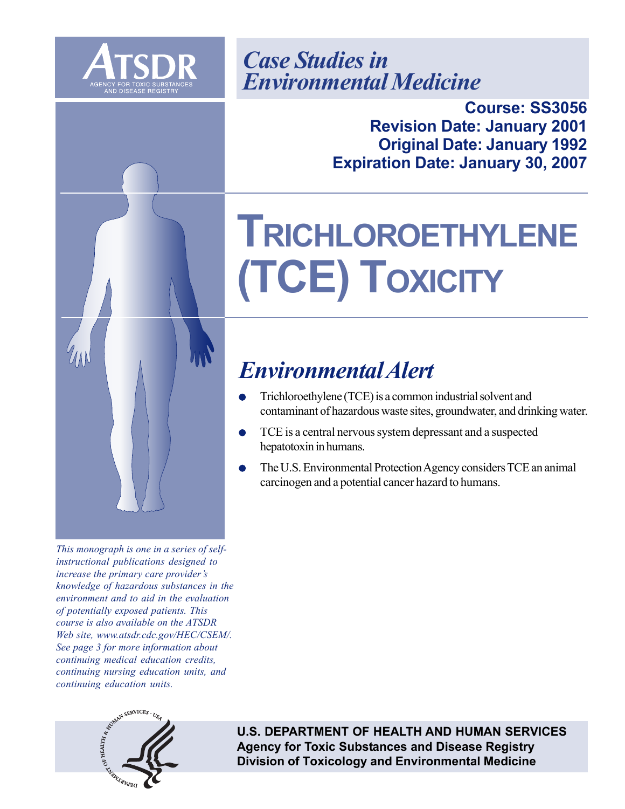



**Course: SS3056 Revision Date: January 2001 Original Date: January 1992 Expiration Date: January 30, 2007** 

# **TRICHLOROETHYLENE (TCE) TOXICITY**

# *Environmental Alert*

- Trichloroethylene (TCE) is a common industrial solvent and contaminant of hazardous waste sites, groundwater, and drinking water.
- TCE is a central nervous system depressant and a suspected hepatotoxin in humans.
- The U.S. Environmental Protection Agency considers TCE an animal carcinogen and a potential cancer hazard to humans.

*This monograph is one in a series of selfinstructional publications designed to increase the primary care provider's knowledge of hazardous substances in the environment and to aid in the evaluation of potentially exposed patients. This course is also available on the ATSDR Web site, www.atsdr.cdc.gov/HEC/CSEM/. See page 3 for more information about continuing medical education credits, continuing nursing education units, and continuing education units.* 



**U.S. DEPARTMENT OF HEALTH AND HUMAN SERVICES Agency for Toxic Substances and Disease Registry Division of Toxicology and Environmental Medicine**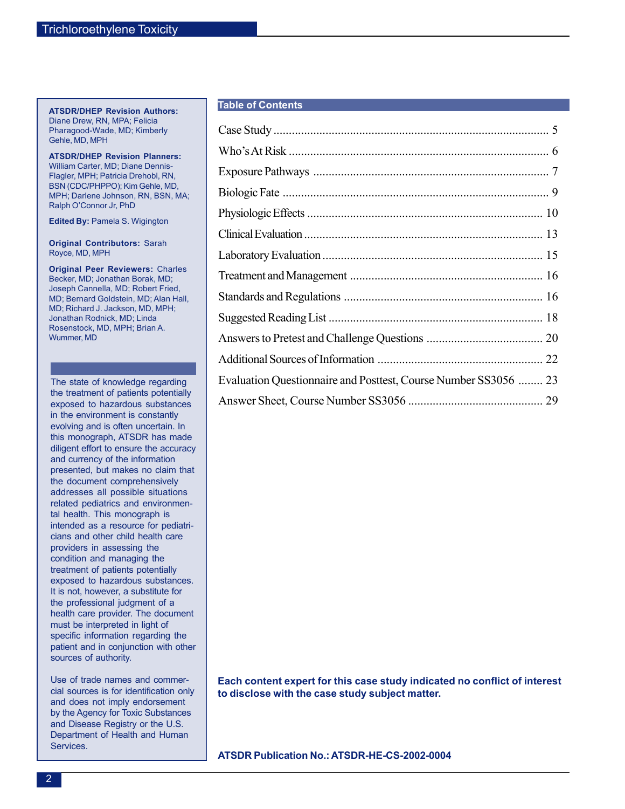### **ATSDR/DHEP Revision Authors:**  Diane Drew, RN, MPA; Felicia Pharagood-Wade, MD; Kimberly Gehle, MD, MPH

**ATSDR/DHEP Revision Planners:**  William Carter, MD; Diane Dennis-Flagler, MPH; Patricia Drehobl, RN, BSN (CDC/PHPPO); Kim Gehle, MD, MPH; Darlene Johnson, RN, BSN, MA; Ralph O'Connor Jr, PhD

**Edited By:** Pamela S. Wigington

**Original Contributors:** Sarah Royce, MD, MPH

**Original Peer Reviewers:** Charles Becker, MD; Jonathan Borak, MD; Joseph Cannella, MD; Robert Fried, MD; Bernard Goldstein, MD; Alan Hall, MD; Richard J. Jackson, MD, MPH; Jonathan Rodnick, MD; Linda Rosenstock, MD, MPH; Brian A. Wummer, MD

The state of knowledge regarding the treatment of patients potentially exposed to hazardous substances in the environment is constantly evolving and is often uncertain. In this monograph, ATSDR has made diligent effort to ensure the accuracy and currency of the information presented, but makes no claim that the document comprehensively addresses all possible situations related pediatrics and environmental health. This monograph is intended as a resource for pediatricians and other child health care providers in assessing the condition and managing the treatment of patients potentially exposed to hazardous substances. It is not, however, a substitute for the professional judgment of a health care provider. The document must be interpreted in light of specific information regarding the patient and in conjunction with other sources of authority.

Use of trade names and commercial sources is for identification only and does not imply endorsement by the Agency for Toxic Substances and Disease Registry or the U.S. Department of Health and Human Services.

### **Table of Contents**

| Evaluation Questionnaire and Posttest, Course Number SS3056  23 |  |
|-----------------------------------------------------------------|--|
|                                                                 |  |

**Each content expert for this case study indicated no conflict of interest to disclose with the case study subject matter.** 

**ATSDR Publication No.: ATSDR-HE-CS-2002-0004**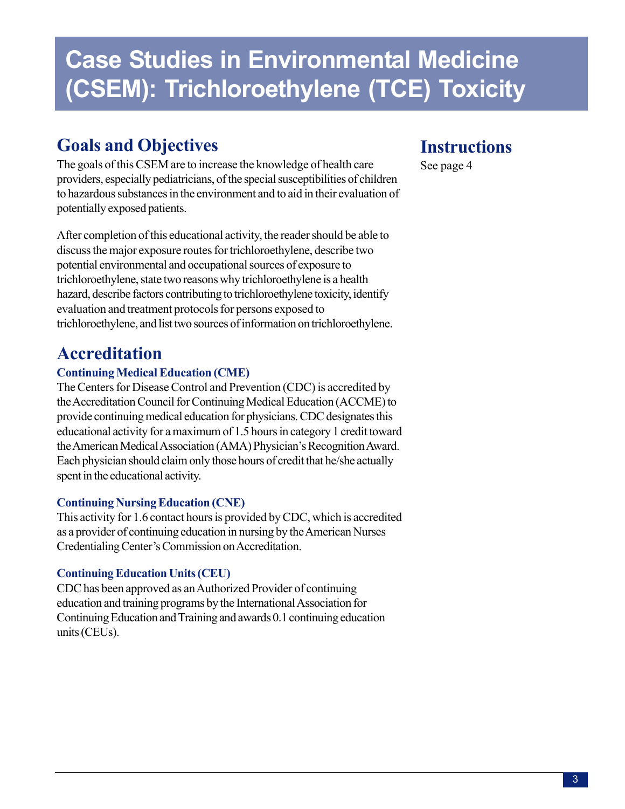# **Case Studies in Environmental Medicine (CSEM): Trichloroethylene (TCE) Toxicity**

# **Goals and Objectives**

The goals of this CSEM are to increase the knowledge of health care providers, especially pediatricians, of the special susceptibilities of children to hazardous substances in the environment and to aid in their evaluation of potentially exposed patients.

After completion of this educational activity, the reader should be able to discuss the major exposure routes for trichloroethylene, describe two potential environmental and occupational sources of exposure to trichloroethylene, state two reasons why trichloroethylene is a health hazard, describe factors contributing to trichloroethylene toxicity, identify evaluation and treatment protocols for persons exposed to trichloroethylene, and list two sources of information on trichloroethylene.

# **Accreditation**

## **Continuing Medical Education (CME)**

The Centers for Disease Control and Prevention (CDC) is accredited by the Accreditation Council for Continuing Medical Education (ACCME) to provide continuing medical education for physicians. CDC designates this educational activity for a maximum of 1.5 hours in category 1 credit toward the American Medical Association (AMA) Physician's Recognition Award. Each physician should claim only those hours of credit that he/she actually spent in the educational activity.

## **Continuing Nursing Education (CNE)**

This activity for 1.6 contact hours is provided by CDC, which is accredited as a provider of continuing education in nursing by the American Nurses Credentialing Center's Commission on Accreditation.

## **Continuing Education Units (CEU)**

CDC has been approved as an Authorized Provider of continuing education and training programs by the International Association for Continuing Education and Training and awards 0.1 continuing education units (CEUs).

# **Instructions**

See page 4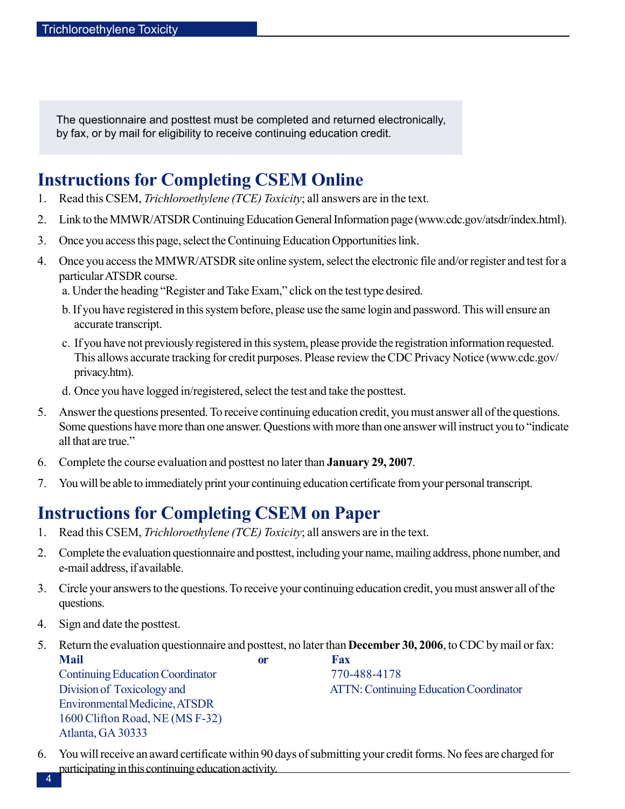The questionnaire and posttest must be completed and returned electronically, by fax, or by mail for eligibility to receive continuing education credit.

# **Instructions for Completing CSEM Online**

- 1. Read this CSEM, *Trichloroethylene (TCE) Toxicity*; all answers are in the text.
- 2. Link to the MMWR/ATSDR Continuing Education General Information page (www.cdc.gov/atsdr/index.html).
- 3. Once you access this page, select the Continuing Education Opportunities link.
- 4. Once you access the MMWR/ATSDR site online system, select the electronic file and/or register and test for a particular ATSDR course.
	- a. Under the heading "Register and Take Exam," click on the test type desired.
	- b. If you have registered in this system before, please use the same login and password. This will ensure an accurate transcript.
	- c. If you have not previously registered in this system, please provide the registration information requested. This allows accurate tracking for credit purposes. Please review the CDC Privacy Notice (www.cdc.gov/ privacy.htm).
	- d. Once you have logged in/registered, select the test and take the posttest.
- 5. Answer the questions presented. To receive continuing education credit, you must answer all of the questions. Some questions have more than one answer. Questions with more than one answer will instruct you to "indicate all that are true."
- 6. Complete the course evaluation and posttest no later than **January 29, 2007**.
- 7. You will be able to immediately print your continuing education certificate from your personal transcript.

## **Instructions for Completing CSEM on Paper**

- 1. Read this CSEM, *Trichloroethylene (TCE) Toxicity*; all answers are in the text.
- 2. Complete the evaluation questionnaire and posttest, including your name, mailing address, phone number, and e-mail address, if available.
- 3. Circle your answers to the questions. To receive your continuing education credit, you must answer all of the questions.
- 4. Sign and date the posttest.
- 5. Return the evaluation questionnaire and posttest, no later than **December 30, 2006**, to CDC by mail or fax: **Mail or** Fax

 Continuing Education Coordinator 770-488-4178 Environmental Medicine, ATSDR 1600 Clifton Road, NE (MS F-32) Atlanta, GA 30333

Division of Toxicology and ATTN: Continuing Education Coordinator

6. You will receive an award certificate within 90 days of submitting your credit forms. No fees are charged for participating in this continuing education activity. 4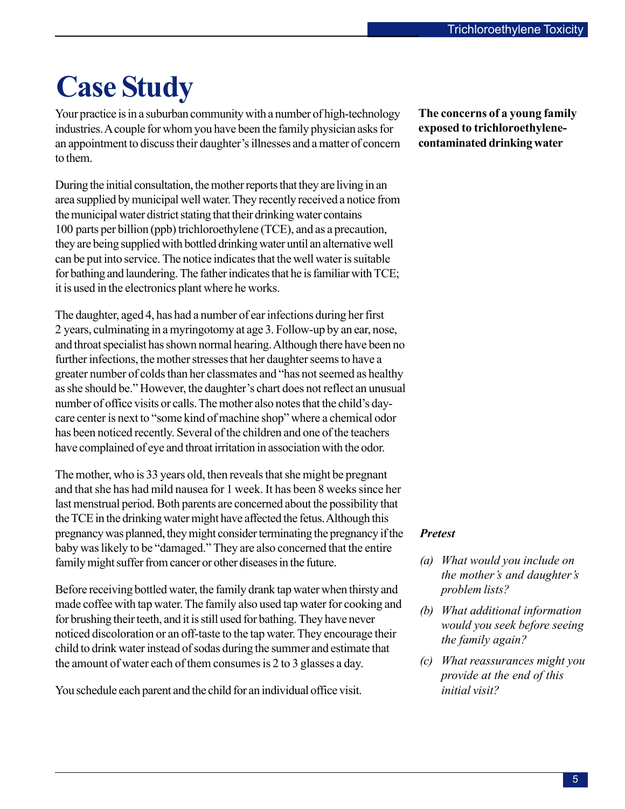# <span id="page-4-0"></span>**Case Study**

Your practice is in a suburban community with a number of high-technology industries. A couple for whom you have been the family physician asks for an appointment to discuss their daughter's illnesses and a matter of concern to them.

During the initial consultation, the mother reports that they are living in an area supplied by municipal well water. They recently received a notice from the municipal water district stating that their drinking water contains 100 parts per billion (ppb) trichloroethylene (TCE), and as a precaution, they are being supplied with bottled drinking water until an alternative well can be put into service. The notice indicates that the well water is suitable for bathing and laundering. The father indicates that he is familiar with TCE; it is used in the electronics plant where he works.

The daughter, aged 4, has had a number of ear infections during her first 2 years, culminating in a myringotomy at age 3. Follow-up by an ear, nose, and throat specialist has shown normal hearing. Although there have been no further infections, the mother stresses that her daughter seems to have a greater number of colds than her classmates and "has not seemed as healthy as she should be." However, the daughter's chart does not reflect an unusual number of office visits or calls. The mother also notes that the child's daycare center is next to "some kind of machine shop" where a chemical odor has been noticed recently. Several of the children and one of the teachers have complained of eye and throat irritation in association with the odor.

The mother, who is 33 years old, then reveals that she might be pregnant and that she has had mild nausea for 1 week. It has been 8 weeks since her last menstrual period. Both parents are concerned about the possibility that the TCE in the drinking water might have affected the fetus. Although this pregnancy was planned, they might consider terminating the pregnancy if the baby was likely to be "damaged." They are also concerned that the entire family might suffer from cancer or other diseases in the future.

Before receiving bottled water, the family drank tap water when thirsty and made coffee with tap water. The family also used tap water for cooking and for brushing their teeth, and it is still used for bathing. They have never noticed discoloration or an off-taste to the tap water. They encourage their child to drink water instead of sodas during the summer and estimate that the amount of water each of them consumes is 2 to 3 glasses a day.

You schedule each parent and the child for an individual office visit.

**The concerns of a young family exposed to trichloroethylenecontaminated drinking water** 

## *Pretest*

- *(a) What would you include on the mother's and daughter's problem lists?*
- *(b) What additional information would you seek before seeing the family again?*
- *(c) What reassurances might you provide at the end of this initial visit?*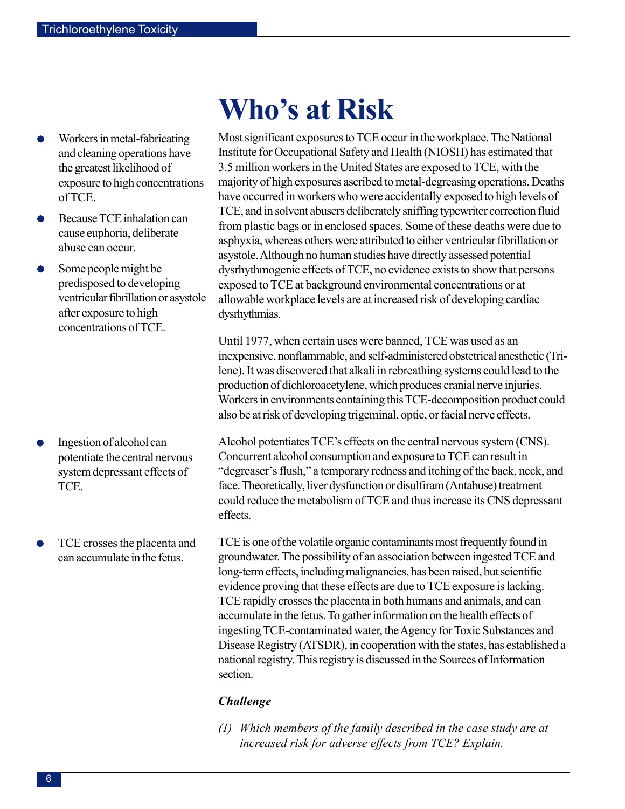- <span id="page-5-0"></span>Workers in metal-fabricating and cleaning operations have the greatest likelihood of exposure to high concentrations of TCE.
- Because TCE inhalation can cause euphoria, deliberate abuse can occur.
- Some people might be predisposed to developing ventricular fibrillation or asystole after exposure to high concentrations of TCE.

- Ingestion of alcohol can potentiate the central nervous system depressant effects of TCE.
- TCE crosses the placenta and can accumulate in the fetus.

# **Who's at Risk**

Most significant exposures to TCE occur in the workplace. The National Institute for Occupational Safety and Health (NIOSH) has estimated that 3.5 million workers in the United States are exposed to TCE, with the majority of high exposures ascribed to metal-degreasing operations. Deaths have occurred in workers who were accidentally exposed to high levels of TCE, and in solvent abusers deliberately sniffing typewriter correction fluid from plastic bags or in enclosed spaces. Some of these deaths were due to asphyxia, whereas others were attributed to either ventricular fibrillation or asystole. Although no human studies have directly assessed potential dysrhythmogenic effects of TCE, no evidence exists to show that persons exposed to TCE at background environmental concentrations or at allowable workplace levels are at increased risk of developing cardiac dysrhythmias.

Until 1977, when certain uses were banned, TCE was used as an inexpensive, nonflammable, and self-administered obstetrical anesthetic (Trilene). It was discovered that alkali in rebreathing systems could lead to the production of dichloroacetylene, which produces cranial nerve injuries. Workers in environments containing this TCE-decomposition product could also be at risk of developing trigeminal, optic, or facial nerve effects.

Alcohol potentiates TCE's effects on the central nervous system (CNS). Concurrent alcohol consumption and exposure to TCE can result in "degreaser's flush," a temporary redness and itching of the back, neck, and face. Theoretically, liver dysfunction or disulfiram (Antabuse) treatment could reduce the metabolism of TCE and thus increase its CNS depressant effects.

TCE is one of the volatile organic contaminants most frequently found in groundwater. The possibility of an association between ingested TCE and long-term effects, including malignancies, has been raised, but scientific evidence proving that these effects are due to TCE exposure is lacking. TCE rapidly crosses the placenta in both humans and animals, and can accumulate in the fetus. To gather information on the health effects of ingesting TCE-contaminated water, the Agency for Toxic Substances and Disease Registry (ATSDR), in cooperation with the states, has established a national registry. This registry is discussed in the Sources of Information section.

### *Challenge*

*(1) Which members of the family described in the case study are at increased risk for adverse effects from TCE? Explain.*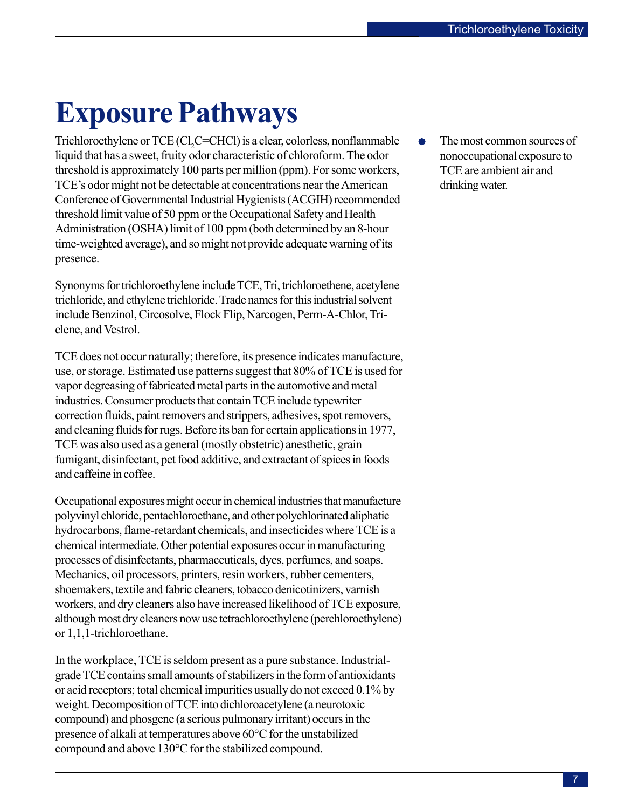# <span id="page-6-0"></span>**Exposure Pathways**

Trichloroethylene or TCE (Cl<sub>2</sub>C=CHCl) is a clear, colorless, nonflammable liquid that has a sweet, fruity odor characteristic of chloroform. The odor threshold is approximately 100 parts per million (ppm). For some workers, TCE's odor might not be detectable at concentrations near the American Conference of Governmental Industrial Hygienists (ACGIH) recommended threshold limit value of 50 ppm or the Occupational Safety and Health Administration (OSHA) limit of 100 ppm (both determined by an 8-hour time-weighted average), and so might not provide adequate warning of its presence.

Synonyms for trichloroethylene include TCE, Tri, trichloroethene, acetylene trichloride, and ethylene trichloride. Trade names for this industrial solvent include Benzinol, Circosolve, Flock Flip, Narcogen, Perm-A-Chlor, Triclene, and Vestrol.

TCE does not occur naturally; therefore, its presence indicates manufacture, use, or storage. Estimated use patterns suggest that 80% of TCE is used for vapor degreasing of fabricated metal parts in the automotive and metal industries. Consumer products that contain TCE include typewriter correction fluids, paint removers and strippers, adhesives, spot removers, and cleaning fluids for rugs. Before its ban for certain applications in 1977, TCE was also used as a general (mostly obstetric) anesthetic, grain fumigant, disinfectant, pet food additive, and extractant of spices in foods and caffeine in coffee.

Occupational exposures might occur in chemical industries that manufacture polyvinyl chloride, pentachloroethane, and other polychlorinated aliphatic hydrocarbons, flame-retardant chemicals, and insecticides where TCE is a chemical intermediate. Other potential exposures occur in manufacturing processes of disinfectants, pharmaceuticals, dyes, perfumes, and soaps. Mechanics, oil processors, printers, resin workers, rubber cementers, shoemakers, textile and fabric cleaners, tobacco denicotinizers, varnish workers, and dry cleaners also have increased likelihood of TCE exposure, although most dry cleaners now use tetrachloroethylene (perchloroethylene) or 1,1,1-trichloroethane.

In the workplace, TCE is seldom present as a pure substance. Industrialgrade TCE contains small amounts of stabilizers in the form of antioxidants or acid receptors; total chemical impurities usually do not exceed 0.1% by weight. Decomposition of TCE into dichloroacetylene (a neurotoxic compound) and phosgene (a serious pulmonary irritant) occurs in the presence of alkali at temperatures above 60°C for the unstabilized compound and above 130°C for the stabilized compound.

 $\bullet$ The most common sources of nonoccupational exposure to TCE are ambient air and drinking water.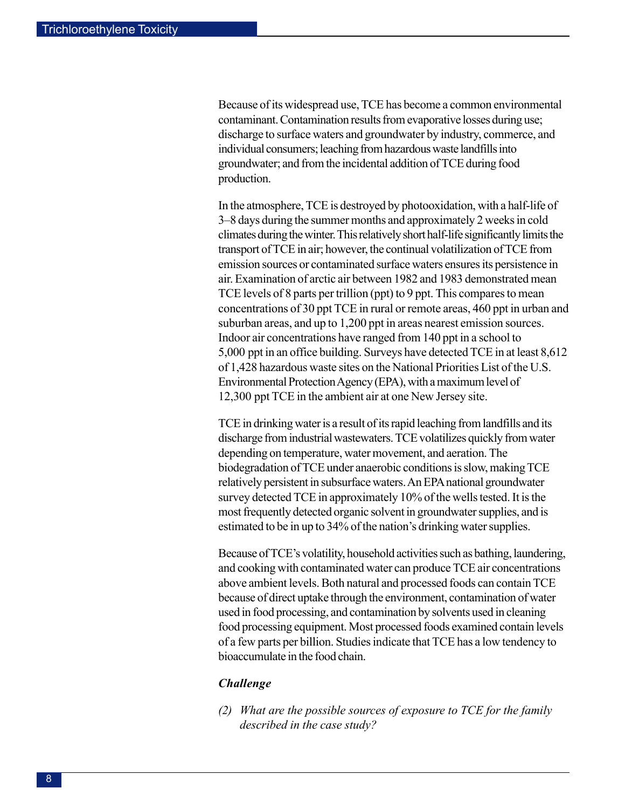Because of its widespread use, TCE has become a common environmental contaminant. Contamination results from evaporative losses during use; discharge to surface waters and groundwater by industry, commerce, and individual consumers; leaching from hazardous waste landfills into groundwater; and from the incidental addition of TCE during food production.

In the atmosphere, TCE is destroyed by photooxidation, with a half-life of 3–8 days during the summer months and approximately 2 weeks in cold climates during the winter. This relatively short half-life significantly limits the transport of TCE in air; however, the continual volatilization of TCE from emission sources or contaminated surface waters ensures its persistence in air. Examination of arctic air between 1982 and 1983 demonstrated mean TCE levels of 8 parts per trillion (ppt) to 9 ppt. This compares to mean concentrations of 30 ppt TCE in rural or remote areas, 460 ppt in urban and suburban areas, and up to 1,200 ppt in areas nearest emission sources. Indoor air concentrations have ranged from 140 ppt in a school to 5,000 ppt in an office building. Surveys have detected TCE in at least 8,612 of 1,428 hazardous waste sites on the National Priorities List of the U.S. Environmental Protection Agency (EPA), with a maximum level of 12,300 ppt TCE in the ambient air at one New Jersey site.

TCE in drinking water is a result of its rapid leaching from landfills and its discharge from industrial wastewaters. TCE volatilizes quickly from water depending on temperature, water movement, and aeration. The biodegradation of TCE under anaerobic conditions is slow, making TCE relatively persistent in subsurface waters. An EPA national groundwater survey detected TCE in approximately 10% of the wells tested. It is the most frequently detected organic solvent in groundwater supplies, and is estimated to be in up to 34% of the nation's drinking water supplies.

Because of TCE's volatility, household activities such as bathing, laundering, and cooking with contaminated water can produce TCE air concentrations above ambient levels. Both natural and processed foods can contain TCE because of direct uptake through the environment, contamination of water used in food processing, and contamination by solvents used in cleaning food processing equipment. Most processed foods examined contain levels of a few parts per billion. Studies indicate that TCE has a low tendency to bioaccumulate in the food chain.

### *Challenge*

*(2) What are the possible sources of exposure to TCE for the family described in the case study?*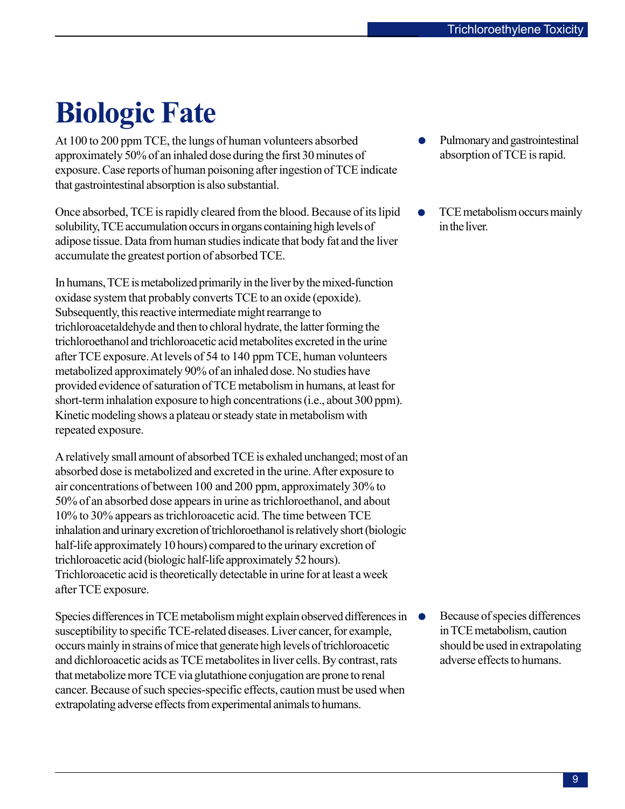# <span id="page-8-0"></span>**Biologic Fate**

At 100 to 200 ppm TCE, the lungs of human volunteers absorbed approximately 50% of an inhaled dose during the first 30 minutes of exposure. Case reports of human poisoning after ingestion of TCE indicate that gastrointestinal absorption is also substantial.

Once absorbed, TCE is rapidly cleared from the blood. Because of its lipid solubility, TCE accumulation occurs in organs containing high levels of adipose tissue. Data from human studies indicate that body fat and the liver accumulate the greatest portion of absorbed TCE.

In humans, TCE is metabolized primarily in the liver by the mixed-function oxidase system that probably converts TCE to an oxide (epoxide). Subsequently, this reactive intermediate might rearrange to trichloroacetaldehyde and then to chloral hydrate, the latter forming the trichloroethanol and trichloroacetic acid metabolites excreted in the urine after TCE exposure. At levels of 54 to 140 ppm TCE, human volunteers metabolized approximately 90% of an inhaled dose. No studies have provided evidence of saturation of TCE metabolism in humans, at least for short-term inhalation exposure to high concentrations (i.e., about 300 ppm). Kinetic modeling shows a plateau or steady state in metabolism with repeated exposure.

A relatively small amount of absorbed TCE is exhaled unchanged; most of an absorbed dose is metabolized and excreted in the urine. After exposure to air concentrations of between 100 and 200 ppm, approximately 30% to 50% of an absorbed dose appears in urine as trichloroethanol, and about 10% to 30% appears as trichloroacetic acid. The time between TCE inhalation and urinary excretion of trichloroethanol is relatively short (biologic half-life approximately 10 hours) compared to the urinary excretion of trichloroacetic acid (biologic half-life approximately 52 hours). Trichloroacetic acid is theoretically detectable in urine for at least a week after TCE exposure.

Species differences in TCE metabolism might explain observed differences in  $\bullet$ susceptibility to specific TCE-related diseases. Liver cancer, for example, occurs mainly in strains of mice that generate high levels of trichloroacetic and dichloroacetic acids as TCE metabolites in liver cells. By contrast, rats that metabolize more TCE via glutathione conjugation are prone to renal cancer. Because of such species-specific effects, caution must be used when extrapolating adverse effects from experimental animals to humans.

- Pulmonary and gastrointestinal absorption of TCE is rapid.
- TCE metabolism occurs mainly  $\bullet$ in the liver.

Because of species differences in TCE metabolism, caution should be used in extrapolating adverse effects to humans.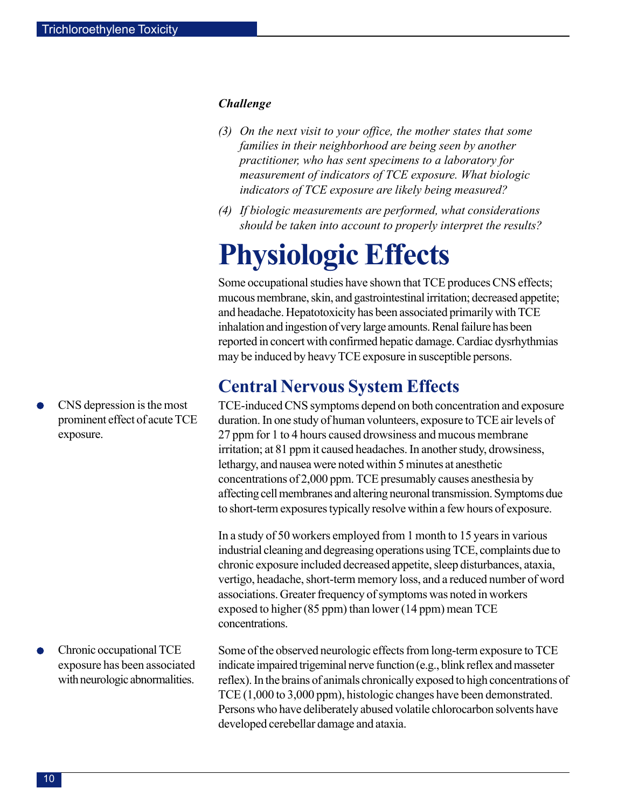### <span id="page-9-0"></span>*Challenge*

- *(3) On the next visit to your office, the mother states that some families in their neighborhood are being seen by another practitioner, who has sent specimens to a laboratory for measurement of indicators of TCE exposure. What biologic indicators of TCE exposure are likely being measured?*
- *(4) If biologic measurements are performed, what considerations should be taken into account to properly interpret the results?*

# **Physiologic Effects**

Some occupational studies have shown that TCE produces CNS effects; mucous membrane, skin, and gastrointestinal irritation; decreased appetite; and headache. Hepatotoxicity has been associated primarily with TCE inhalation and ingestion of very large amounts. Renal failure has been reported in concert with confirmed hepatic damage. Cardiac dysrhythmias may be induced by heavy TCE exposure in susceptible persons.

## **Central Nervous System Effects**

TCE-induced CNS symptoms depend on both concentration and exposure duration. In one study of human volunteers, exposure to TCE air levels of 27 ppm for 1 to 4 hours caused drowsiness and mucous membrane irritation; at 81 ppm it caused headaches. In another study, drowsiness, lethargy, and nausea were noted within 5 minutes at anesthetic concentrations of 2,000 ppm. TCE presumably causes anesthesia by affecting cell membranes and altering neuronal transmission. Symptoms due to short-term exposures typically resolve within a few hours of exposure.

In a study of 50 workers employed from 1 month to 15 years in various industrial cleaning and degreasing operations using TCE, complaints due to chronic exposure included decreased appetite, sleep disturbances, ataxia, vertigo, headache, short-term memory loss, and a reduced number of word associations. Greater frequency of symptoms was noted in workers exposed to higher (85 ppm) than lower (14 ppm) mean TCE concentrations.

Some of the observed neurologic effects from long-term exposure to TCE indicate impaired trigeminal nerve function (e.g., blink reflex and masseter reflex). In the brains of animals chronically exposed to high concentrations of TCE (1,000 to 3,000 ppm), histologic changes have been demonstrated. Persons who have deliberately abused volatile chlorocarbon solvents have developed cerebellar damage and ataxia.

CNS depression is the most prominent effect of acute TCE exposure.

Chronic occupational TCE exposure has been associated with neurologic abnormalities.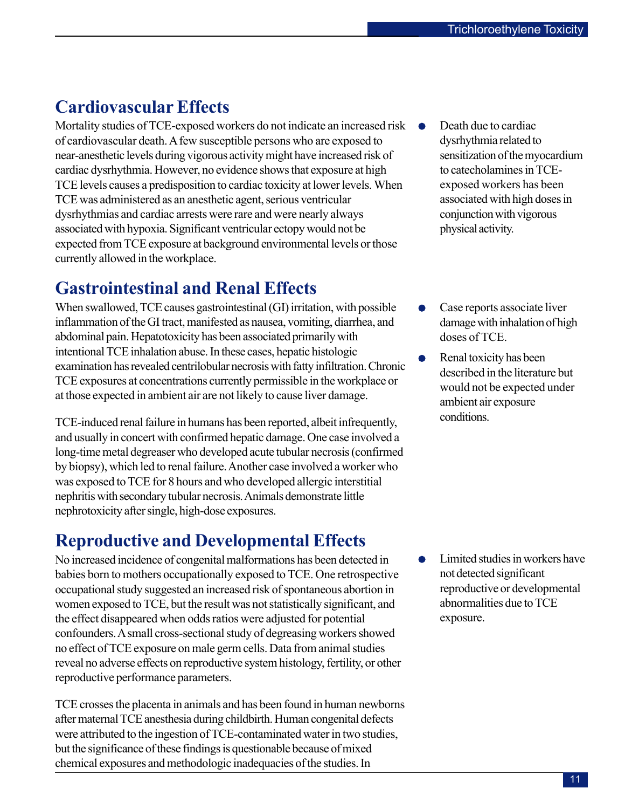# **Cardiovascular Effects**

Mortality studies of TCE-exposed workers do not indicate an increased risk of cardiovascular death. A few susceptible persons who are exposed to near-anesthetic levels during vigorous activity might have increased risk of cardiac dysrhythmia. However, no evidence shows that exposure at high TCE levels causes a predisposition to cardiac toxicity at lower levels. When TCE was administered as an anesthetic agent, serious ventricular dysrhythmias and cardiac arrests were rare and were nearly always associated with hypoxia. Significant ventricular ectopy would not be expected from TCE exposure at background environmental levels or those currently allowed in the workplace.

# **Gastrointestinal and Renal Effects**

When swallowed, TCE causes gastrointestinal (GI) irritation, with possible inflammation of the GI tract, manifested as nausea, vomiting, diarrhea, and abdominal pain. Hepatotoxicity has been associated primarily with intentional TCE inhalation abuse. In these cases, hepatic histologic examination has revealed centrilobular necrosis with fatty infiltration. Chronic TCE exposures at concentrations currently permissible in the workplace or at those expected in ambient air are not likely to cause liver damage.

TCE-induced renal failure in humans has been reported, albeit infrequently, and usually in concert with confirmed hepatic damage. One case involved a long-time metal degreaser who developed acute tubular necrosis (confirmed by biopsy), which led to renal failure. Another case involved a worker who was exposed to TCE for 8 hours and who developed allergic interstitial nephritis with secondary tubular necrosis. Animals demonstrate little nephrotoxicity after single, high-dose exposures.

# **Reproductive and Developmental Effects**

No increased incidence of congenital malformations has been detected in babies born to mothers occupationally exposed to TCE. One retrospective occupational study suggested an increased risk of spontaneous abortion in women exposed to TCE, but the result was not statistically significant, and the effect disappeared when odds ratios were adjusted for potential confounders. A small cross-sectional study of degreasing workers showed no effect of TCE exposure on male germ cells. Data from animal studies reveal no adverse effects on reproductive system histology, fertility, or other reproductive performance parameters.

TCE crosses the placenta in animals and has been found in human newborns after maternal TCE anesthesia during childbirth. Human congenital defects were attributed to the ingestion of TCE-contaminated water in two studies, but the significance of these findings is questionable because of mixed chemical exposures and methodologic inadequacies of the studies. In

- Death due to cardiac dysrhythmia related to sensitization of the myocardium to catecholamines in TCEexposed workers has been associated with high doses in conjunction with vigorous physical activity.
- Case reports associate liver damage with inhalation of high doses of TCE.
- Renal toxicity has been described in the literature but would not be expected under ambient air exposure conditions.

Limited studies in workers have  $\bullet$ not detected significant reproductive or developmental abnormalities due to TCE exposure.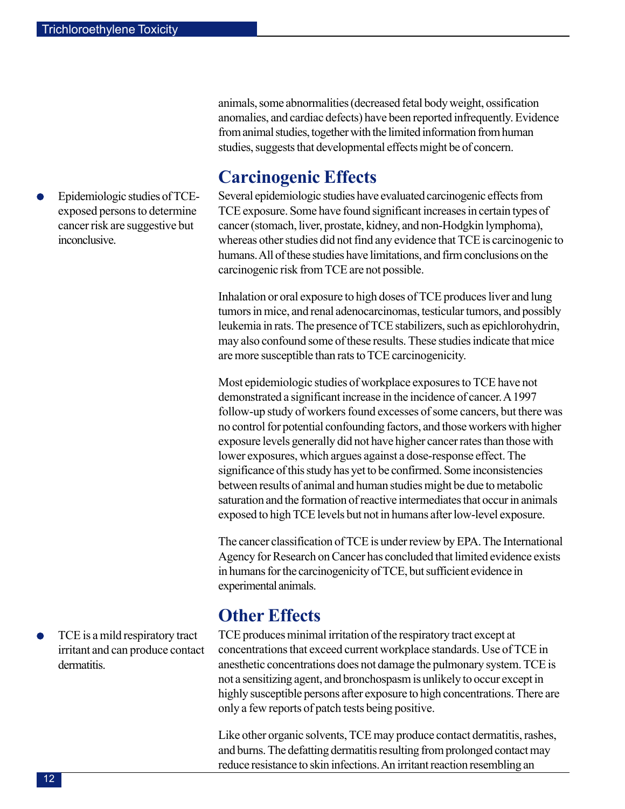Epidemiologic studies of TCEexposed persons to determine cancer risk are suggestive but inconclusive.

animals, some abnormalities (decreased fetal body weight, ossification anomalies, and cardiac defects) have been reported infrequently. Evidence from animal studies, together with the limited information from human studies, suggests that developmental effects might be of concern.

# **Carcinogenic Effects**

Several epidemiologic studies have evaluated carcinogenic effects from TCE exposure. Some have found significant increases in certain types of cancer (stomach, liver, prostate, kidney, and non-Hodgkin lymphoma), whereas other studies did not find any evidence that TCE is carcinogenic to humans. All of these studies have limitations, and firm conclusions on the carcinogenic risk from TCE are not possible.

Inhalation or oral exposure to high doses of TCE produces liver and lung tumors in mice, and renal adenocarcinomas, testicular tumors, and possibly leukemia in rats. The presence of TCE stabilizers, such as epichlorohydrin, may also confound some of these results. These studies indicate that mice are more susceptible than rats to TCE carcinogenicity.

Most epidemiologic studies of workplace exposures to TCE have not demonstrated a significant increase in the incidence of cancer. A 1997 follow-up study of workers found excesses of some cancers, but there was no control for potential confounding factors, and those workers with higher exposure levels generally did not have higher cancer rates than those with lower exposures, which argues against a dose-response effect. The significance of this study has yet to be confirmed. Some inconsistencies between results of animal and human studies might be due to metabolic saturation and the formation of reactive intermediates that occur in animals exposed to high TCE levels but not in humans after low-level exposure.

The cancer classification of TCE is under review by EPA. The International Agency for Research on Cancer has concluded that limited evidence exists in humans for the carcinogenicity of TCE, but sufficient evidence in experimental animals.

# **Other Effects**

TCE produces minimal irritation of the respiratory tract except at concentrations that exceed current workplace standards. Use of TCE in anesthetic concentrations does not damage the pulmonary system. TCE is not a sensitizing agent, and bronchospasm is unlikely to occur except in highly susceptible persons after exposure to high concentrations. There are only a few reports of patch tests being positive.

Like other organic solvents, TCE may produce contact dermatitis, rashes, and burns. The defatting dermatitis resulting from prolonged contact may reduce resistance to skin infections. An irritant reaction resembling an

TCE is a mild respiratory tract irritant and can produce contact dermatitis.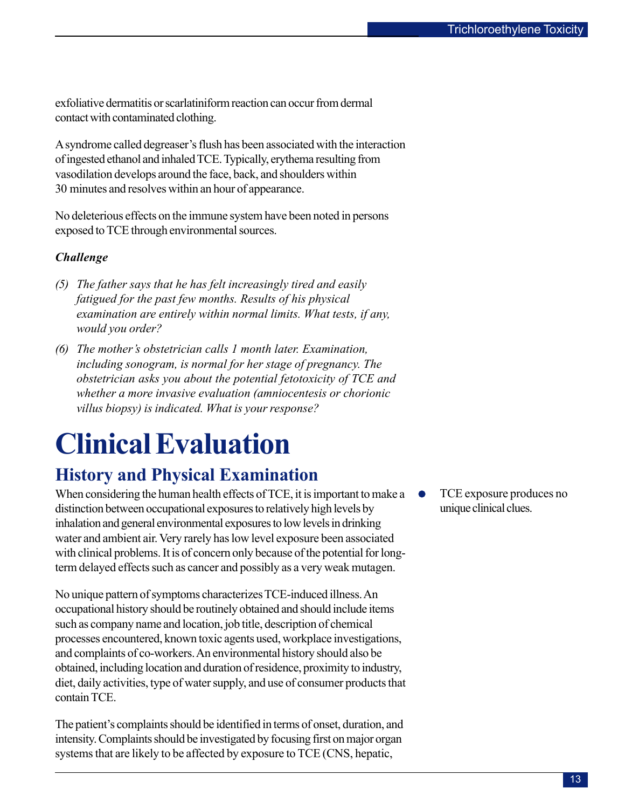<span id="page-12-0"></span>exfoliative dermatitis or scarlatiniform reaction can occur from dermal contact with contaminated clothing.

A syndrome called degreaser's flush has been associated with the interaction of ingested ethanol and inhaled TCE. Typically, erythema resulting from vasodilation develops around the face, back, and shoulders within 30 minutes and resolves within an hour of appearance.

No deleterious effects on the immune system have been noted in persons exposed to TCE through environmental sources.

## *Challenge*

- *(5) The father says that he has felt increasingly tired and easily fatigued for the past few months. Results of his physical examination are entirely within normal limits. What tests, if any, would you order?*
- *(6) The mother's obstetrician calls 1 month later. Examination, including sonogram, is normal for her stage of pregnancy. The obstetrician asks you about the potential fetotoxicity of TCE and whether a more invasive evaluation (amniocentesis or chorionic villus biopsy) is indicated. What is your response?*

# **Clinical Evaluation**

# **History and Physical Examination**

When considering the human health effects of TCE, it is important to make a distinction between occupational exposures to relatively high levels by inhalation and general environmental exposures to low levels in drinking water and ambient air. Very rarely has low level exposure been associated with clinical problems. It is of concern only because of the potential for longterm delayed effects such as cancer and possibly as a very weak mutagen.

No unique pattern of symptoms characterizes TCE-induced illness. An occupational history should be routinely obtained and should include items such as company name and location, job title, description of chemical processes encountered, known toxic agents used, workplace investigations, and complaints of co-workers. An environmental history should also be obtained, including location and duration of residence, proximity to industry, diet, daily activities, type of water supply, and use of consumer products that contain TCE.

The patient's complaints should be identified in terms of onset, duration, and intensity. Complaints should be investigated by focusing first on major organ systems that are likely to be affected by exposure to TCE (CNS, hepatic,

TCE exposure produces no  $\bullet$ unique clinical clues.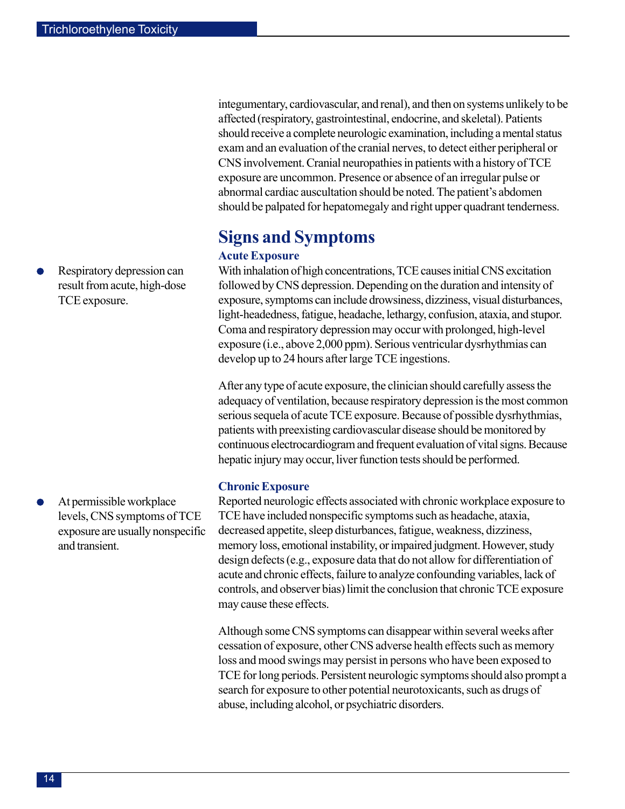Respiratory depression can result from acute, high-dose TCE exposure.

At permissible workplace levels, CNS symptoms of TCE exposure are usually nonspecific and transient.

integumentary, cardiovascular, and renal), and then on systems unlikely to be affected (respiratory, gastrointestinal, endocrine, and skeletal). Patients should receive a complete neurologic examination, including a mental status exam and an evaluation of the cranial nerves, to detect either peripheral or CNS involvement. Cranial neuropathies in patients with a history of TCE exposure are uncommon. Presence or absence of an irregular pulse or abnormal cardiac auscultation should be noted. The patient's abdomen should be palpated for hepatomegaly and right upper quadrant tenderness.

# **Signs and Symptoms**

### **Acute Exposure**

With inhalation of high concentrations, TCE causes initial CNS excitation followed by CNS depression. Depending on the duration and intensity of exposure, symptoms can include drowsiness, dizziness, visual disturbances, light-headedness, fatigue, headache, lethargy, confusion, ataxia, and stupor. Coma and respiratory depression may occur with prolonged, high-level exposure (i.e., above 2,000 ppm). Serious ventricular dysrhythmias can develop up to 24 hours after large TCE ingestions.

After any type of acute exposure, the clinician should carefully assess the adequacy of ventilation, because respiratory depression is the most common serious sequela of acute TCE exposure. Because of possible dysrhythmias, patients with preexisting cardiovascular disease should be monitored by continuous electrocardiogram and frequent evaluation of vital signs. Because hepatic injury may occur, liver function tests should be performed.

### **Chronic Exposure**

Reported neurologic effects associated with chronic workplace exposure to TCE have included nonspecific symptoms such as headache, ataxia, decreased appetite, sleep disturbances, fatigue, weakness, dizziness, memory loss, emotional instability, or impaired judgment. However, study design defects (e.g., exposure data that do not allow for differentiation of acute and chronic effects, failure to analyze confounding variables, lack of controls, and observer bias) limit the conclusion that chronic TCE exposure may cause these effects.

Although some CNS symptoms can disappear within several weeks after cessation of exposure, other CNS adverse health effects such as memory loss and mood swings may persist in persons who have been exposed to TCE for long periods. Persistent neurologic symptoms should also prompt a search for exposure to other potential neurotoxicants, such as drugs of abuse, including alcohol, or psychiatric disorders.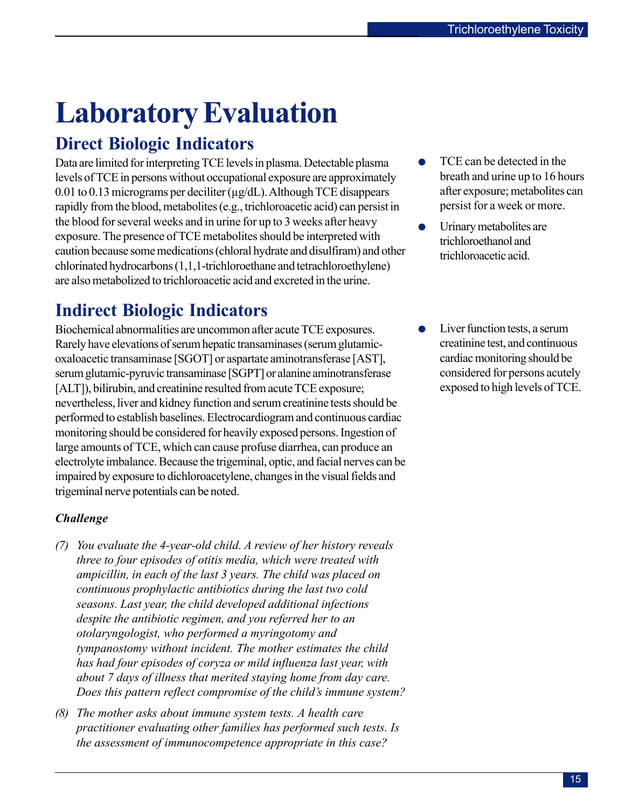# <span id="page-14-0"></span>**Laboratory Evaluation**

# **Direct Biologic Indicators**

Data are limited for interpreting TCE levels in plasma. Detectable plasma levels of TCE in persons without occupational exposure are approximately 0.01 to 0.13 micrograms per deciliter (µg/dL). Although TCE disappears rapidly from the blood, metabolites (e.g., trichloroacetic acid) can persist in the blood for several weeks and in urine for up to 3 weeks after heavy exposure. The presence of TCE metabolites should be interpreted with caution because some medications (chloral hydrate and disulfiram) and other chlorinated hydrocarbons (1,1,1-trichloroethane and tetrachloroethylene) are also metabolized to trichloroacetic acid and excreted in the urine.

# **Indirect Biologic Indicators**

Biochemical abnormalities are uncommon after acute TCE exposures. Rarely have elevations of serum hepatic transaminases (serum glutamicoxaloacetic transaminase [SGOT] or aspartate aminotransferase [AST], serum glutamic-pyruvic transaminase [SGPT] or alanine aminotransferase [ALT]), bilirubin, and creatinine resulted from acute TCE exposure; nevertheless, liver and kidney function and serum creatinine tests should be performed to establish baselines. Electrocardiogram and continuous cardiac monitoring should be considered for heavily exposed persons. Ingestion of large amounts of TCE, which can cause profuse diarrhea, can produce an electrolyte imbalance. Because the trigeminal, optic, and facial nerves can be impaired by exposure to dichloroacetylene, changes in the visual fields and trigeminal nerve potentials can be noted.

## *Challenge*

- *(7) You evaluate the 4-year-old child. A review of her history reveals three to four episodes of otitis media, which were treated with ampicillin, in each of the last 3 years. The child was placed on continuous prophylactic antibiotics during the last two cold seasons. Last year, the child developed additional infections despite the antibiotic regimen, and you referred her to an otolaryngologist, who performed a myringotomy and tympanostomy without incident. The mother estimates the child has had four episodes of coryza or mild influenza last year, with about 7 days of illness that merited staying home from day care. Does this pattern reflect compromise of the child's immune system?*
- *(8) The mother asks about immune system tests. A health care practitioner evaluating other families has performed such tests. Is the assessment of immunocompetence appropriate in this case?*
- TCE can be detected in the breath and urine up to 16 hours after exposure; metabolites can persist for a week or more.
- Urinary metabolites are trichloroethanol and trichloroacetic acid.
- Liver function tests, a serum creatinine test, and continuous cardiac monitoring should be considered for persons acutely exposed to high levels of TCE.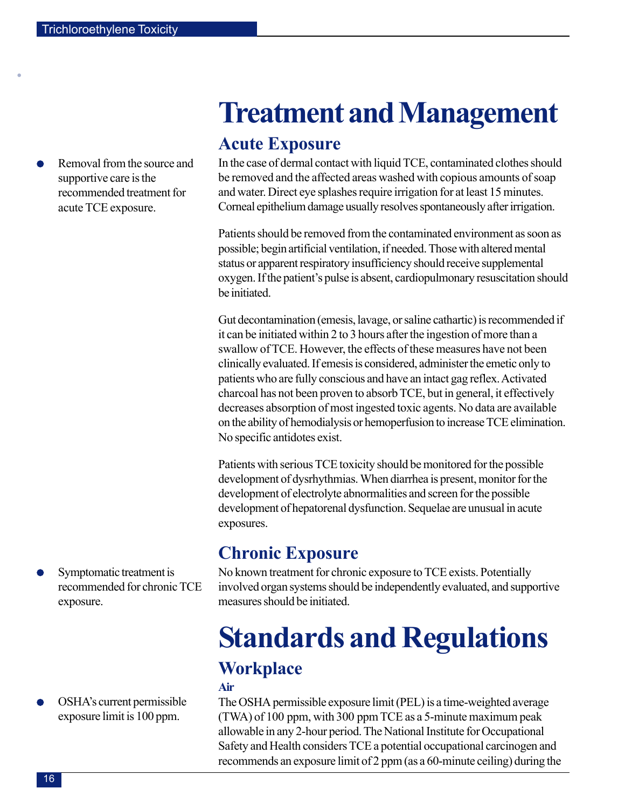<span id="page-15-0"></span>•

Removal from the source and supportive care is the recommended treatment for acute TCE exposure.

Symptomatic treatment is recommended for chronic TCE exposure.

OSHA's current permissible exposure limit is 100 ppm.

# **Treatment and Management**

## **Acute Exposure**

In the case of dermal contact with liquid TCE, contaminated clothes should be removed and the affected areas washed with copious amounts of soap and water. Direct eye splashes require irrigation for at least 15 minutes. Corneal epithelium damage usually resolves spontaneously after irrigation.

Patients should be removed from the contaminated environment as soon as possible; begin artificial ventilation, if needed. Those with altered mental status or apparent respiratory insufficiency should receive supplemental oxygen. If the patient's pulse is absent, cardiopulmonary resuscitation should be initiated.

Gut decontamination (emesis, lavage, or saline cathartic) is recommended if it can be initiated within 2 to 3 hours after the ingestion of more than a swallow of TCE. However, the effects of these measures have not been clinically evaluated. If emesis is considered, administer the emetic only to patients who are fully conscious and have an intact gag reflex. Activated charcoal has not been proven to absorb TCE, but in general, it effectively decreases absorption of most ingested toxic agents. No data are available on the ability of hemodialysis or hemoperfusion to increase TCE elimination. No specific antidotes exist.

Patients with serious TCE toxicity should be monitored for the possible development of dysrhythmias. When diarrhea is present, monitor for the development of electrolyte abnormalities and screen for the possible development of hepatorenal dysfunction. Sequelae are unusual in acute exposures.

# **Chronic Exposure**

No known treatment for chronic exposure to TCE exists. Potentially involved organ systems should be independently evaluated, and supportive measures should be initiated.

# **Standards and Regulations Workplace**

## **Air**

The OSHA permissible exposure limit (PEL) is a time-weighted average (TWA) of 100 ppm, with 300 ppm TCE as a 5-minute maximum peak allowable in any 2-hour period. The National Institute for Occupational Safety and Health considers TCE a potential occupational carcinogen and recommends an exposure limit of 2 ppm (as a 60-minute ceiling) during the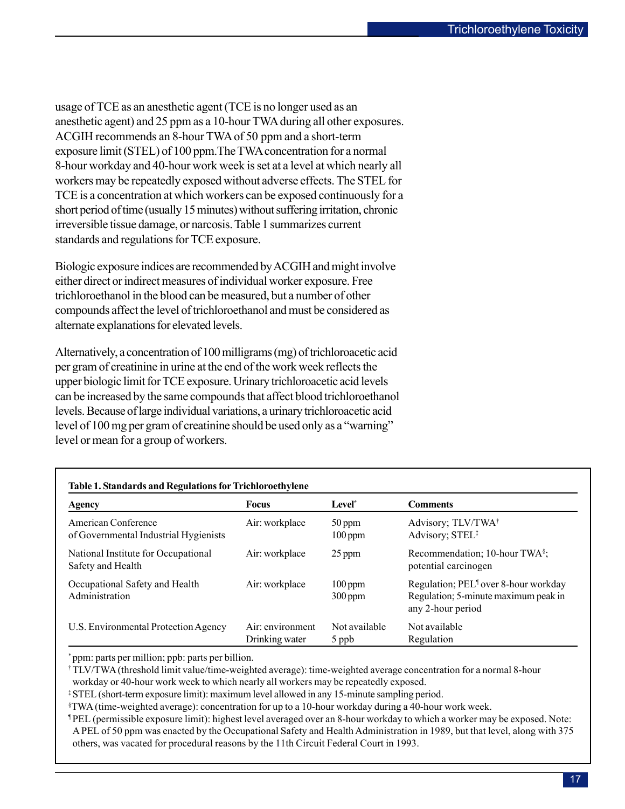usage of TCE as an anesthetic agent (TCE is no longer used as an anesthetic agent) and 25 ppm as a 10-hour TWA during all other exposures. ACGIH recommends an 8-hour TWA of 50 ppm and a short-term exposure limit (STEL) of 100 ppm.The TWA concentration for a normal 8-hour workday and 40-hour work week is set at a level at which nearly all workers may be repeatedly exposed without adverse effects. The STEL for TCE is a concentration at which workers can be exposed continuously for a short period of time (usually 15 minutes) without suffering irritation, chronic irreversible tissue damage, or narcosis. Table 1 summarizes current standards and regulations for TCE exposure.

Biologic exposure indices are recommended by ACGIH and might involve either direct or indirect measures of individual worker exposure. Free trichloroethanol in the blood can be measured, but a number of other compounds affect the level of trichloroethanol and must be considered as alternate explanations for elevated levels.

Alternatively, a concentration of 100 milligrams (mg) of trichloroacetic acid per gram of creatinine in urine at the end of the work week reflects the upper biologic limit for TCE exposure. Urinary trichloroacetic acid levels can be increased by the same compounds that affect blood trichloroethanol levels. Because of large individual variations, a urinary trichloroacetic acid level of 100 mg per gram of creatinine should be used only as a "warning" level or mean for a group of workers.

| Table 1. Standards and Regulations for Trichloroethylene     |                                    |                        |                                                                                                               |  |  |  |  |  |
|--------------------------------------------------------------|------------------------------------|------------------------|---------------------------------------------------------------------------------------------------------------|--|--|--|--|--|
| <b>Agency</b>                                                | <b>Focus</b>                       | Level <sup>*</sup>     | <b>Comments</b>                                                                                               |  |  |  |  |  |
| American Conference<br>of Governmental Industrial Hygienists | Air: workplace                     | 50 ppm<br>$100$ ppm    | Advisory; TLV/TWA <sup>+</sup><br>Advisory; STEL <sup>‡</sup>                                                 |  |  |  |  |  |
| National Institute for Occupational<br>Safety and Health     | Air: workplace                     | 25 ppm                 | Recommendation; 10-hour TWA <sup>§</sup> ;<br>potential carcinogen                                            |  |  |  |  |  |
| Occupational Safety and Health<br>Administration             | Air: workplace                     | $100$ ppm<br>$300$ ppm | Regulation; PEL <sup>1</sup> over 8-hour workday<br>Regulation; 5-minute maximum peak in<br>any 2-hour period |  |  |  |  |  |
| U.S. Environmental Protection Agency                         | Air: environment<br>Drinking water | Not available<br>5 ppb | Not available<br>Regulation                                                                                   |  |  |  |  |  |

\* ppm: parts per million; ppb: parts per billion.

†TLV/TWA (threshold limit value/time-weighted average): time-weighted average concentration for a normal 8-hour workday or 40-hour work week to which nearly all workers may be repeatedly exposed.

‡STEL (short-term exposure limit): maximum level allowed in any 15-minute sampling period.

§ TWA (time-weighted average): concentration for up to a 10-hour workday during a 40-hour work week.

¶ PEL (permissible exposure limit): highest level averaged over an 8-hour workday to which a worker may be exposed. Note: A PEL of 50 ppm was enacted by the Occupational Safety and Health Administration in 1989, but that level, along with 375 others, was vacated for procedural reasons by the 11th Circuit Federal Court in 1993.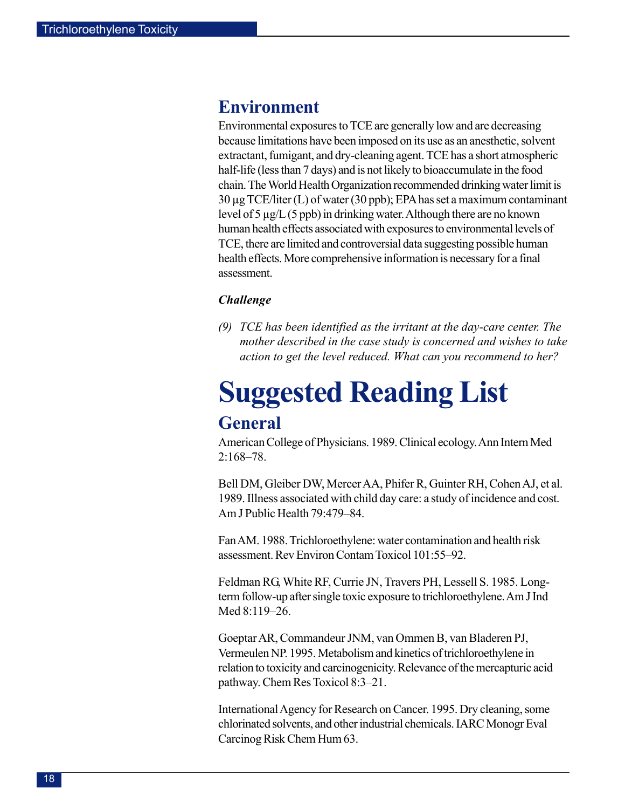## <span id="page-17-0"></span>**Environment**

Environmental exposures to TCE are generally low and are decreasing because limitations have been imposed on its use as an anesthetic, solvent extractant, fumigant, and dry-cleaning agent. TCE has a short atmospheric half-life (less than 7 days) and is not likely to bioaccumulate in the food chain. The World Health Organization recommended drinking water limit is 30 µg TCE/liter (L) of water (30 ppb); EPA has set a maximum contaminant level of 5 µg/L (5 ppb) in drinking water. Although there are no known human health effects associated with exposures to environmental levels of TCE, there are limited and controversial data suggesting possible human health effects. More comprehensive information is necessary for a final assessment.

### *Challenge*

*(9) TCE has been identified as the irritant at the day-care center. The mother described in the case study is concerned and wishes to take action to get the level reduced. What can you recommend to her?* 

# **Suggested Reading List General**

American College of Physicians. 1989. Clinical ecology. Ann Intern Med 2:168–78.

Bell DM, Gleiber DW, Mercer AA, Phifer R, Guinter RH, Cohen AJ, et al. 1989. Illness associated with child day care: a study of incidence and cost. Am J Public Health 79:479–84.

Fan AM. 1988. Trichloroethylene: water contamination and health risk assessment. Rev Environ Contam Toxicol 101:55–92.

Feldman RG, White RF, Currie JN, Travers PH, Lessell S. 1985. Longterm follow-up after single toxic exposure to trichloroethylene. Am J Ind Med 8:119–26.

Goeptar AR, Commandeur JNM, van Ommen B, van Bladeren PJ, Vermeulen NP. 1995. Metabolism and kinetics of trichloroethylene in relation to toxicity and carcinogenicity. Relevance of the mercapturic acid pathway. Chem Res Toxicol 8:3–21.

International Agency for Research on Cancer. 1995. Dry cleaning, some chlorinated solvents, and other industrial chemicals. IARC Monogr Eval Carcinog Risk Chem Hum 63.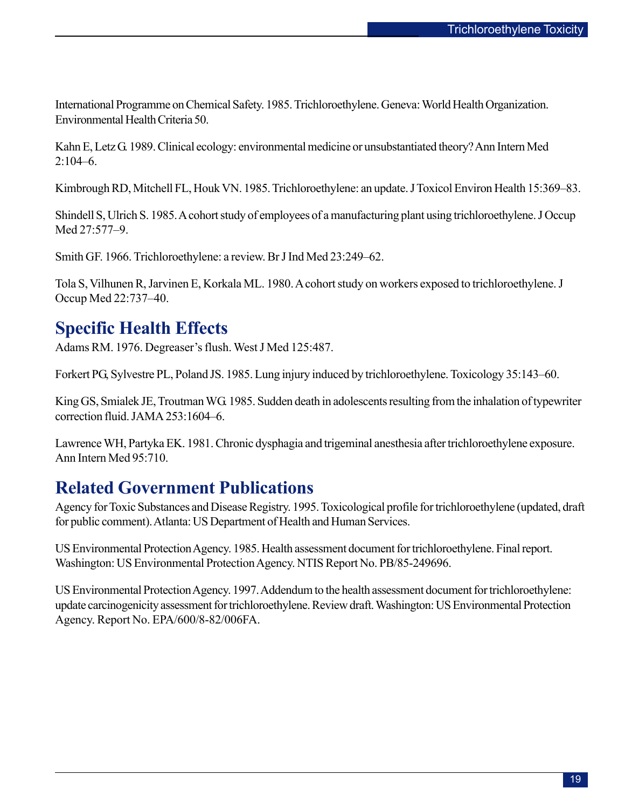International Programme on Chemical Safety. 1985. Trichloroethylene. Geneva: World Health Organization. Environmental Health Criteria 50.

Kahn E, Letz G. 1989. Clinical ecology: environmental medicine or unsubstantiated theory? Ann Intern Med 2:104–6.

Kimbrough RD, Mitchell FL, Houk VN. 1985. Trichloroethylene: an update. J Toxicol Environ Health 15:369–83.

Shindell S, Ulrich S. 1985. A cohort study of employees of a manufacturing plant using trichloroethylene. J Occup Med 27:577–9.

Smith GF. 1966. Trichloroethylene: a review. Br J Ind Med 23:249–62.

Tola S, Vilhunen R, Jarvinen E, Korkala ML. 1980. A cohort study on workers exposed to trichloroethylene. J Occup Med 22:737–40.

# **Specific Health Effects**

Adams RM. 1976. Degreaser's flush. West J Med 125:487.

Forkert PG, Sylvestre PL, Poland JS. 1985. Lung injury induced by trichloroethylene. Toxicology 35:143–60.

King GS, Smialek JE, Troutman WG. 1985. Sudden death in adolescents resulting from the inhalation of typewriter correction fluid. JAMA 253:1604–6.

Lawrence WH, Partyka EK. 1981. Chronic dysphagia and trigeminal anesthesia after trichloroethylene exposure. Ann Intern Med 95:710.

## **Related Government Publications**

Agency for Toxic Substances and Disease Registry. 1995. Toxicological profile for trichloroethylene (updated, draft for public comment). Atlanta: US Department of Health and Human Services.

US Environmental Protection Agency. 1985. Health assessment document for trichloroethylene. Final report. Washington: US Environmental Protection Agency. NTIS Report No. PB/85-249696.

US Environmental Protection Agency. 1997. Addendum to the health assessment document for trichloroethylene: update carcinogenicity assessment for trichloroethylene. Review draft. Washington: US Environmental Protection Agency. Report No. EPA/600/8-82/006FA.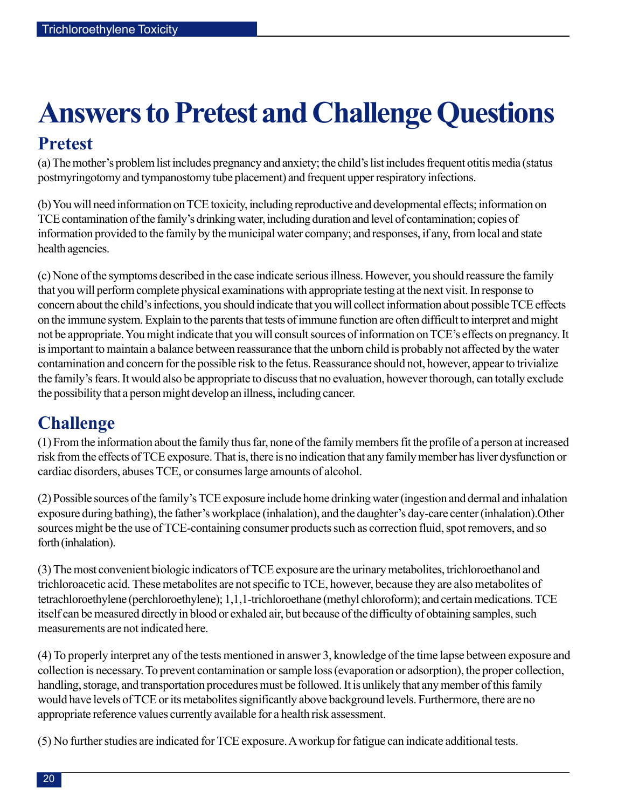# <span id="page-19-0"></span>**Answers to Pretest and Challenge Questions**

# **Pretest**

(a) The mother's problem list includes pregnancy and anxiety; the child's list includes frequent otitis media (status postmyringotomy and tympanostomy tube placement) and frequent upper respiratory infections.

(b)You will need information on TCE toxicity, including reproductive and developmental effects; information on TCE contamination of the family's drinking water, including duration and level of contamination; copies of information provided to the family by the municipal water company; and responses, if any, from local and state health agencies.

(c) None of the symptoms described in the case indicate serious illness. However, you should reassure the family that you will perform complete physical examinations with appropriate testing at the next visit. In response to concern about the child's infections, you should indicate that you will collect information about possible TCE effects on the immune system. Explain to the parents that tests of immune function are often difficult to interpret and might not be appropriate. You might indicate that you will consult sources of information on TCE's effects on pregnancy. It is important to maintain a balance between reassurance that the unborn child is probably not affected by the water contamination and concern for the possible risk to the fetus. Reassurance should not, however, appear to trivialize the family's fears. It would also be appropriate to discuss that no evaluation, however thorough, can totally exclude the possibility that a person might develop an illness, including cancer.

# **Challenge**

(1) From the information about the family thus far, none of the family members fit the profile of a person at increased risk from the effects of TCE exposure. That is, there is no indication that any family member has liver dysfunction or cardiac disorders, abuses TCE, or consumes large amounts of alcohol.

(2) Possible sources of the family's TCE exposure include home drinking water (ingestion and dermal and inhalation exposure during bathing), the father's workplace (inhalation), and the daughter's day-care center (inhalation).Other sources might be the use of TCE-containing consumer products such as correction fluid, spot removers, and so forth (inhalation).

(3) The most convenient biologic indicators of TCE exposure are the urinary metabolites, trichloroethanol and trichloroacetic acid. These metabolites are not specific to TCE, however, because they are also metabolites of tetrachloroethylene (perchloroethylene); 1,1,1-trichloroethane (methyl chloroform); and certain medications. TCE itself can be measured directly in blood or exhaled air, but because of the difficulty of obtaining samples, such measurements are not indicated here.

(4) To properly interpret any of the tests mentioned in answer 3, knowledge of the time lapse between exposure and collection is necessary. To prevent contamination or sample loss (evaporation or adsorption), the proper collection, handling, storage, and transportation procedures must be followed. It is unlikely that any member of this family would have levels of TCE or its metabolites significantly above background levels. Furthermore, there are no appropriate reference values currently available for a health risk assessment.

(5) No further studies are indicated for TCE exposure. A workup for fatigue can indicate additional tests.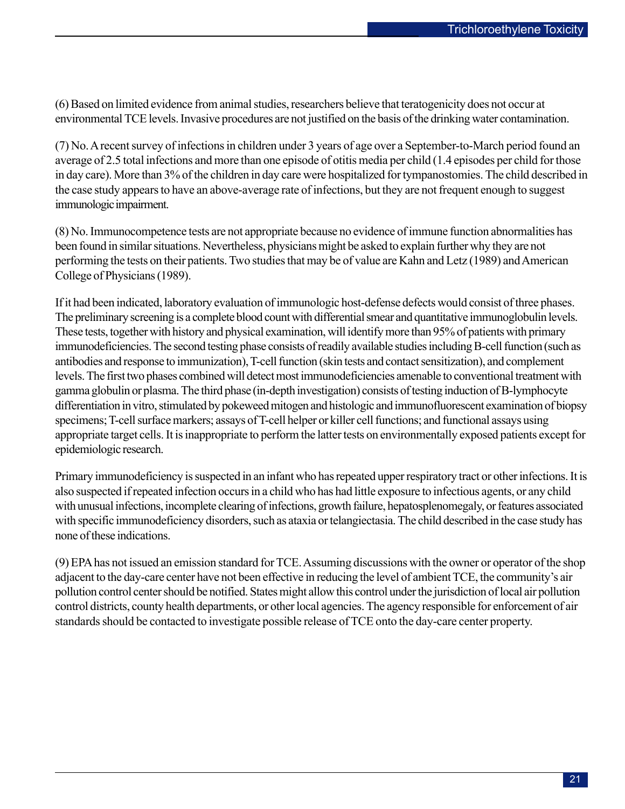(6) Based on limited evidence from animal studies, researchers believe that teratogenicity does not occur at environmental TCE levels. Invasive procedures are not justified on the basis of the drinking water contamination.

(7) No. A recent survey of infections in children under 3 years of age over a September-to-March period found an average of 2.5 total infections and more than one episode of otitis media per child (1.4 episodes per child for those in day care). More than 3% of the children in day care were hospitalized for tympanostomies. The child described in the case study appears to have an above-average rate of infections, but they are not frequent enough to suggest immunologic impairment.

(8) No. Immunocompetence tests are not appropriate because no evidence of immune function abnormalities has been found in similar situations. Nevertheless, physicians might be asked to explain further why they are not performing the tests on their patients. Two studies that may be of value are Kahn and Letz (1989) and American College of Physicians (1989).

If it had been indicated, laboratory evaluation of immunologic host-defense defects would consist of three phases. The preliminary screening is a complete blood count with differential smear and quantitative immunoglobulin levels. These tests, together with history and physical examination, will identify more than 95% of patients with primary immunodeficiencies. The second testing phase consists of readily available studies including B-cell function (such as antibodies and response to immunization), T-cell function (skin tests and contact sensitization), and complement levels. The first two phases combined will detect most immunodeficiencies amenable to conventional treatment with gamma globulin or plasma. The third phase (in-depth investigation) consists of testing induction of B-lymphocyte differentiation in vitro, stimulated by pokeweed mitogen and histologic and immunofluorescent examination of biopsy specimens; T-cell surface markers; assays of T-cell helper or killer cell functions; and functional assays using appropriate target cells. It is inappropriate to perform the latter tests on environmentally exposed patients except for epidemiologic research.

Primary immunodeficiency is suspected in an infant who has repeated upper respiratory tract or other infections. It is also suspected if repeated infection occurs in a child who has had little exposure to infectious agents, or any child with unusual infections, incomplete clearing of infections, growth failure, hepatosplenomegaly, or features associated with specific immunodeficiency disorders, such as ataxia or telangiectasia. The child described in the case study has none of these indications.

(9) EPA has not issued an emission standard for TCE. Assuming discussions with the owner or operator of the shop adjacent to the day-care center have not been effective in reducing the level of ambient TCE, the community's air pollution control center should be notified. States might allow this control under the jurisdiction of local air pollution control districts, county health departments, or other local agencies. The agency responsible for enforcement of air standards should be contacted to investigate possible release of TCE onto the day-care center property.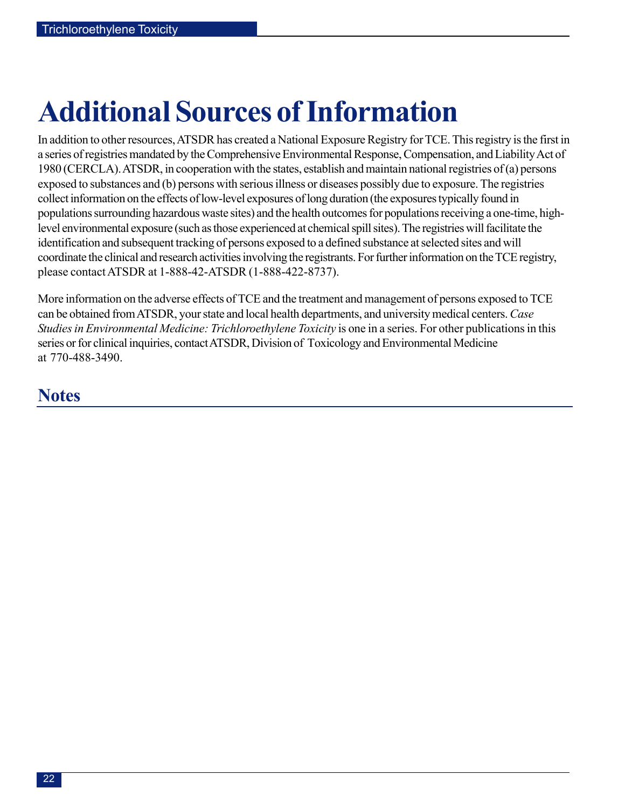# <span id="page-21-0"></span>**Additional Sources of Information**

In addition to other resources, ATSDR has created a National Exposure Registry for TCE. This registry is the first in a series of registries mandated by the Comprehensive Environmental Response, Compensation, and Liability Act of 1980 (CERCLA). ATSDR, in cooperation with the states, establish and maintain national registries of (a) persons exposed to substances and (b) persons with serious illness or diseases possibly due to exposure. The registries collect information on the effects of low-level exposures of long duration (the exposures typically found in populations surrounding hazardous waste sites) and the health outcomes for populations receiving a one-time, highlevel environmental exposure (such as those experienced at chemical spill sites). The registries will facilitate the identification and subsequent tracking of persons exposed to a defined substance at selected sites and will coordinate the clinical and research activities involving the registrants. For further information on the TCE registry, please contact ATSDR at 1-888-42-ATSDR (1-888-422-8737).

More information on the adverse effects of TCE and the treatment and management of persons exposed to TCE can be obtained from ATSDR, your state and local health departments, and university medical centers. *Case Studies in Environmental Medicine: Trichloroethylene Toxicity* is one in a series. For other publications in this series or for clinical inquiries, contact ATSDR, Division of Toxicology and Environmental Medicine at 770-488-3490.

# **Notes**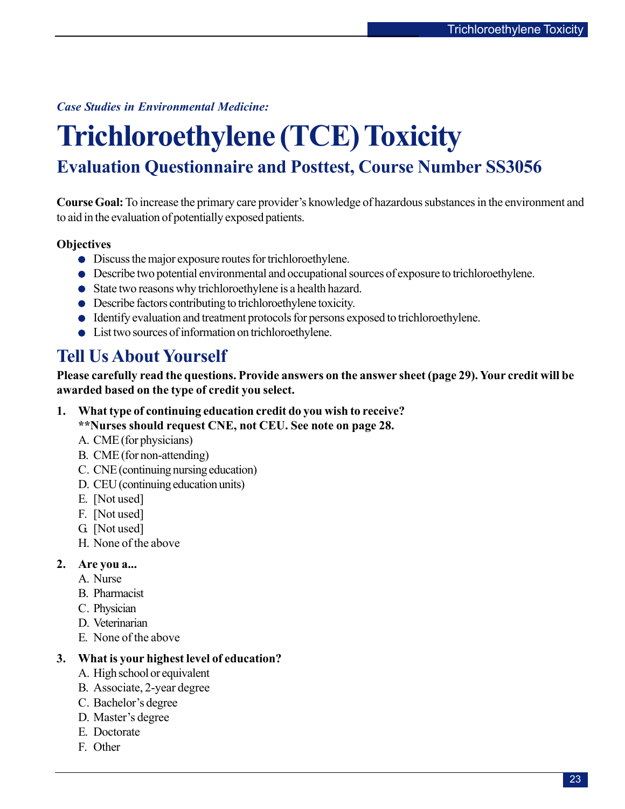<span id="page-22-0"></span>*Case Studies in Environmental Medicine:* 

# **Trichloroethylene (TCE) Toxicity Evaluation Questionnaire and Posttest, Course Number SS3056**

**Course Goal:** To increase the primary care provider's knowledge of hazardous substances in the environment and to aid in the evaluation of potentially exposed patients.

### **Objectives**

- Discuss the major exposure routes for trichloroethylene.
- Describe two potential environmental and occupational sources of exposure to trichloroethylene.
- State two reasons why trichloroethylene is a health hazard.
- Describe factors contributing to trichloroethylene toxicity.
- Identify evaluation and treatment protocols for persons exposed to trichloroethylene.
- List two sources of information on trichloroethylene.

# **Tell Us About Yourself**

**Please carefully read the questions. Provide answers on the answer sheet (page 29). Your credit will be awarded based on the type of credit you select.** 

**1. What type of continuing education credit do you wish to receive?** 

**\*\*Nurses should request CNE, not CEU. See note on page 28.** 

- A. CME (for physicians)
- B. CME (for non-attending)
- C. CNE (continuing nursing education)
- D. CEU (continuing education units)
- E. [Not used]
- F. [Not used]
- G. [Not used]
- H. None of the above

### **2. Are you a...**

- A. Nurse
- B. Pharmacist
- C. Physician
- D. Veterinarian
- E. None of the above

### **3. What is your highest level of education?**

- A. High school or equivalent
- B. Associate, 2-year degree
- C. Bachelor's degree
- D. Master's degree
- E. Doctorate
- F. Other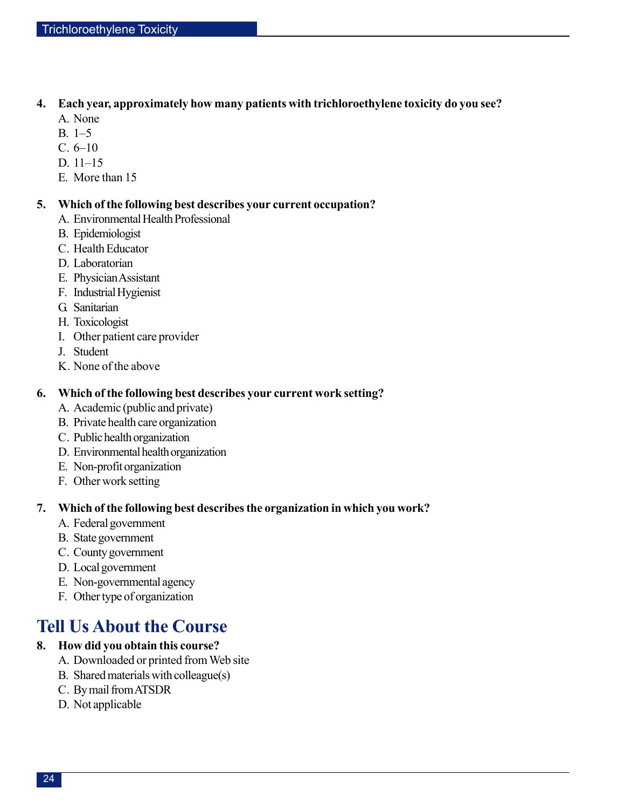### **4. Each year, approximately how many patients with trichloroethylene toxicity do you see?**

- A. None
- B. 1–5
- C. 6–10
- D. 11–15
- E. More than 15

### **5. Which of the following best describes your current occupation?**

- A. Environmental Health Professional
- B. Epidemiologist
- C. Health Educator
- D. Laboratorian
- E. Physician Assistant
- F. Industrial Hygienist
- G. Sanitarian
- H. Toxicologist
- I. Other patient care provider
- J. Student
- K. None of the above

## **6. Which of the following best describes your current work setting?**

- A. Academic (public and private)
- B. Private health care organization
- C. Public health organization
- D. Environmental health organization
- E. Non-profit organization
- F. Other work setting

### **7. Which of the following best describes the organization in which you work?**

- A. Federal government
- B. State government
- C. County government
- D. Local government
- E. Non-governmental agency
- F. Other type of organization

# **Tell Us About the Course**

## **8. How did you obtain this course?**

- A. Downloaded or printed from Web site
- B. Shared materials with colleague(s)
- C. By mail from ATSDR
- D. Not applicable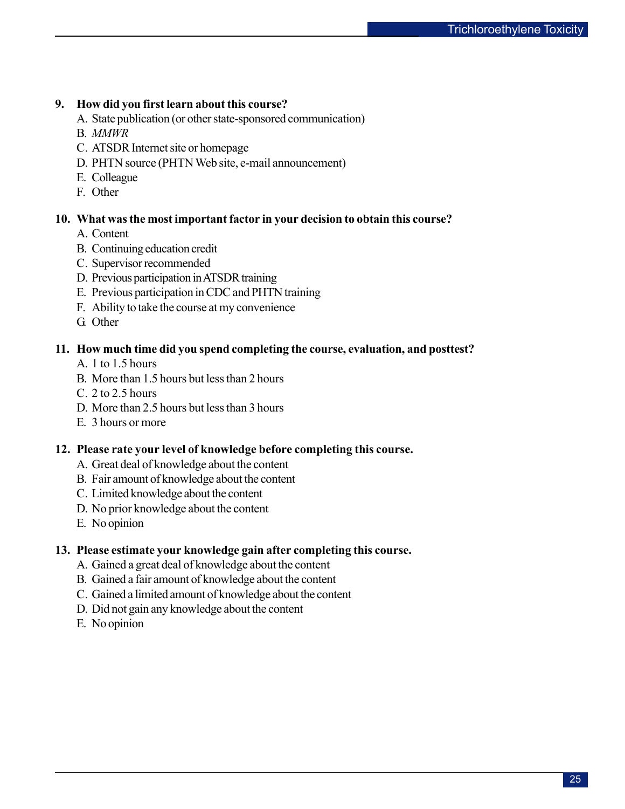### **9. How did you first learn about this course?**

- A. State publication (or other state-sponsored communication)
- B. *MMWR*
- C. ATSDR Internet site or homepage
- D. PHTN source (PHTN Web site, e-mail announcement)
- E. Colleague
- F. Other

### **10. What was the most important factor in your decision to obtain this course?**

- A. Content
- B. Continuing education credit
- C. Supervisor recommended
- D. Previous participation in ATSDR training
- E. Previous participation in CDC and PHTN training
- F. Ability to take the course at my convenience
- G. Other

### **11. How much time did you spend completing the course, evaluation, and posttest?**

- A. 1 to 1.5 hours
- B. More than 1.5 hours but less than 2 hours
- C. 2 to 2.5 hours
- D. More than 2.5 hours but less than 3 hours
- E. 3 hours or more

### **12. Please rate your level of knowledge before completing this course.**

- A. Great deal of knowledge about the content
- B. Fair amount of knowledge about the content
- C. Limited knowledge about the content
- D. No prior knowledge about the content
- E. No opinion

### **13. Please estimate your knowledge gain after completing this course.**

- A. Gained a great deal of knowledge about the content
- B. Gained a fair amount of knowledge about the content
- C. Gained a limited amount of knowledge about the content
- D. Did not gain any knowledge about the content
- E. No opinion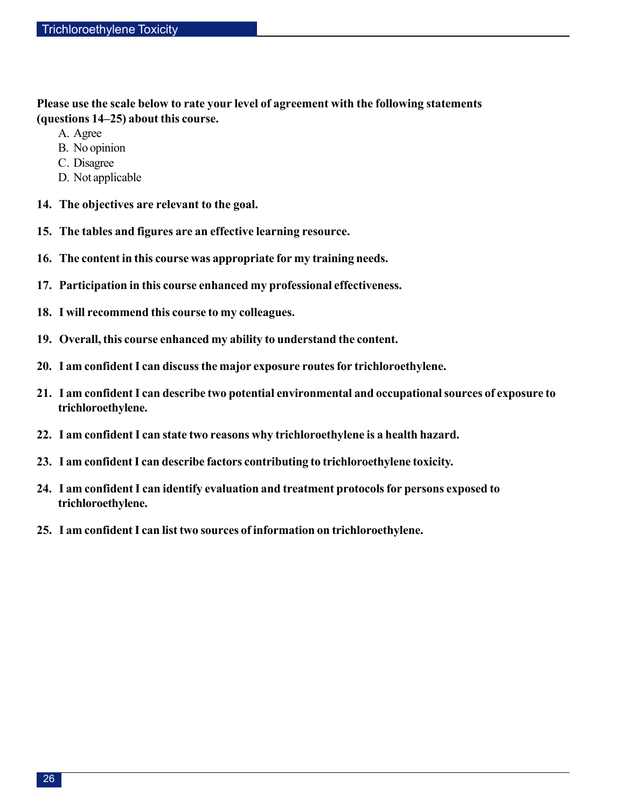**Please use the scale below to rate your level of agreement with the following statements (questions 14–25) about this course.** 

- A. Agree
- B. No opinion
- C. Disagree
- D. Not applicable
- **14. The objectives are relevant to the goal.**
- **15. The tables and figures are an effective learning resource.**
- **16. The content in this course was appropriate for my training needs.**
- **17. Participation in this course enhanced my professional effectiveness.**
- **18. I will recommend this course to my colleagues.**
- **19. Overall, this course enhanced my ability to understand the content.**
- **20. I am confident I can discuss the major exposure routes for trichloroethylene.**
- **21. I am confident I can describe two potential environmental and occupational sources of exposure to trichloroethylene.**
- **22. I am confident I can state two reasons why trichloroethylene is a health hazard.**
- **23. I am confident I can describe factors contributing to trichloroethylene toxicity.**
- **24. I am confident I can identify evaluation and treatment protocols for persons exposed to trichloroethylene.**
- **25. I am confident I can list two sources of information on trichloroethylene.**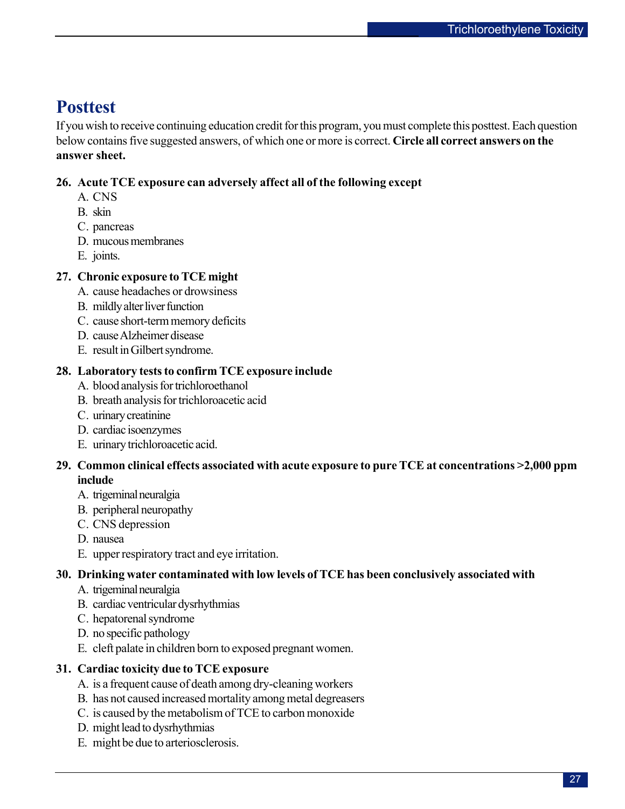# **Posttest**

If you wish to receive continuing education credit for this program, you must complete this posttest. Each question below contains five suggested answers, of which one or more is correct. **Circle all correct answers on the answer sheet.** 

## **26. Acute TCE exposure can adversely affect all of the following except**

- A. CNS
- B. skin
- C. pancreas
- D. mucous membranes
- E. joints.

### **27. Chronic exposure to TCE might**

- A. cause headaches or drowsiness
- B. mildly alter liver function
- C. cause short-term memory deficits
- D. cause Alzheimer disease
- E. result in Gilbert syndrome.

### **28. Laboratory tests to confirm TCE exposure include**

- A. blood analysis for trichloroethanol
- B. breath analysis for trichloroacetic acid
- C. urinary creatinine
- D. cardiac isoenzymes
- E. urinary trichloroacetic acid.

### **29. Common clinical effects associated with acute exposure to pure TCE at concentrations >2,000 ppm include**

- A. trigeminal neuralgia
- B. peripheral neuropathy
- C. CNS depression
- D. nausea
- E. upper respiratory tract and eye irritation.

### **30. Drinking water contaminated with low levels of TCE has been conclusively associated with**

- A. trigeminal neuralgia
- B. cardiac ventricular dysrhythmias
- C. hepatorenal syndrome
- D. no specific pathology
- E. cleft palate in children born to exposed pregnant women.

### **31. Cardiac toxicity due to TCE exposure**

- A. is a frequent cause of death among dry-cleaning workers
- B. has not caused increased mortality among metal degreasers
- C. is caused by the metabolism of TCE to carbon monoxide
- D. might lead to dysrhythmias
- E. might be due to arteriosclerosis.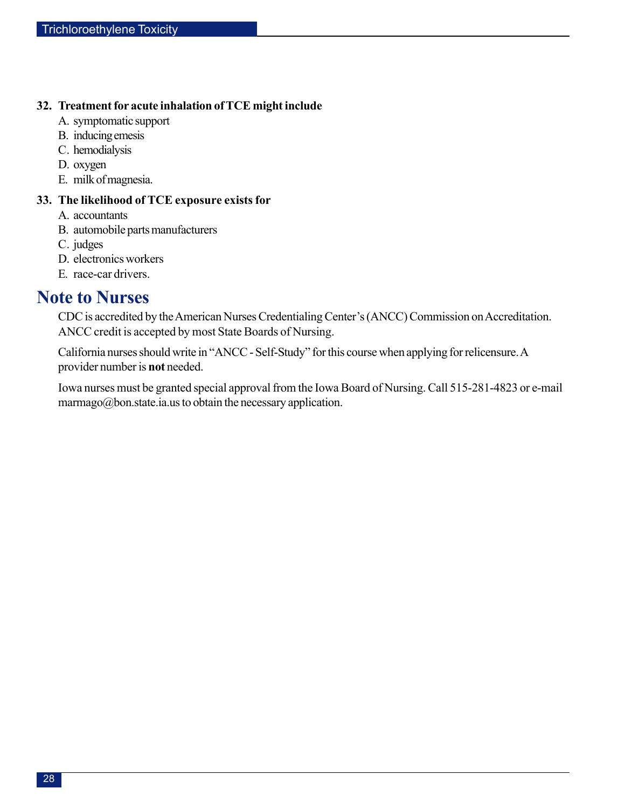### **32. Treatment for acute inhalation of TCE might include**

- A. symptomatic support
- B. inducing emesis
- C. hemodialysis
- D. oxygen
- E. milk of magnesia.

## **33. The likelihood of TCE exposure exists for**

- A. accountants
- B. automobile parts manufacturers
- C. judges
- D. electronics workers
- E. race-car drivers.

## **Note to Nurses**

CDC is accredited by the American Nurses Credentialing Center's (ANCC) Commission on Accreditation. ANCC credit is accepted by most State Boards of Nursing.

California nurses should write in "ANCC - Self-Study" for this course when applying for relicensure. A provider number is **not** needed.

Iowa nurses must be granted special approval from the Iowa Board of Nursing. Call 515-281-4823 or e-mail marmago@bon.state.ia.us to obtain the necessary application.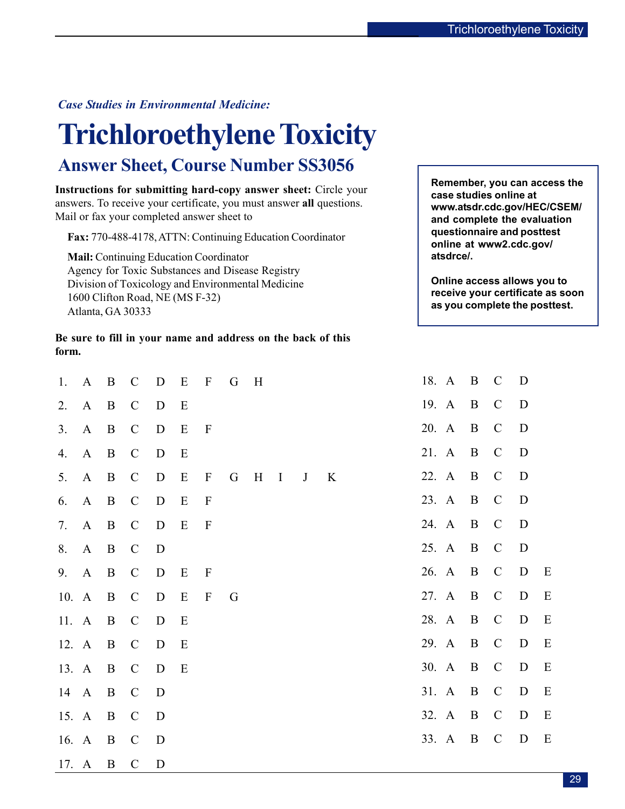### <span id="page-28-0"></span>*Case Studies in Environmental Medicine:*

# **Trichloroethylene Toxicity**

# **Answer Sheet, Course Number SS3056**

**Instructions for submitting hard-copy answer sheet:** Circle your **case studies online at case studies online at** answers. To receive your certificate, you must answer **all** questions. **www.atsdr.cdc.gov/HEC/CSEM/**  Mail or fax your completed answer sheet to **and complete the evaluation** 

**Fax:**  $770-488-4178$ , ATTN: Continuing Education Coordinator **online at www2.cdc.gov/** 

**Mail:** Continuing Education Coordinator **atsdrce/.** Agency for Toxic Substances and Disease Registry Division of Toxicology and Environmental Medicine **Online access allows you to Online access allows you to and**  $1600$  Clifton Boad, NE (MS E 22) **receive your certificate as socially receive your certificate as socially receive your certificate as socially receive your certificate as socially receive your certificate as socially receive your certificate as socially** 

**Be sure to fill in your name and address on the back of this form.** 

| 1.    | $\bf{A}$     | $\mathbf{B}$   | $\mathcal{C}$ | $\mathbf D$ | E | $\boldsymbol{\mathrm{F}}$ | G | H |              |              |   |  | 18. A |       | $\mathbf{B}$   | $\mathcal{C}$ | D |             |
|-------|--------------|----------------|---------------|-------------|---|---------------------------|---|---|--------------|--------------|---|--|-------|-------|----------------|---------------|---|-------------|
| 2.    | $A \quad B$  |                | $\mathcal{C}$ | $\mathbf D$ | Ε |                           |   |   |              |              |   |  |       | 19. A | $\mathbf{B}$   | $\mathcal{C}$ | D |             |
| 3.    | $\mathbf{A}$ | $\mathbf{B}$   | $\mathcal{C}$ | $\mathbf D$ | E | $\mathbf{F}$              |   |   |              |              |   |  | 20. A |       | $\overline{B}$ | $\mathcal{C}$ | D |             |
| 4.    | A B          |                | $\mathcal{C}$ | $\mathbf D$ | E |                           |   |   |              |              |   |  | 21. A |       | $\mathbf{B}$   | $\mathcal{C}$ | D |             |
| 5.    | $\mathbf{A}$ | $\mathbf{B}$   | $\mathcal{C}$ | D           | E | $\mathbf{F}$              | G | H | $\mathbf{I}$ | $\mathbf{J}$ | K |  | 22. A |       | $\mathbf{B}$   | $\mathcal{C}$ | D |             |
| 6.    | A B          |                | $\mathcal{C}$ | $\mathbf D$ | E | $\mathbf{F}$              |   |   |              |              |   |  | 23. A |       | $\mathbf{B}$   | $\mathcal{C}$ | D |             |
| 7.    | A B          |                | $\mathcal{C}$ | $\mathbf D$ | E | $\mathbf{F}$              |   |   |              |              |   |  | 24. A |       | $\mathbf{B}$   | $\mathcal{C}$ | D |             |
|       | 8. A B       |                | $\mathbf C$   | D           |   |                           |   |   |              |              |   |  | 25. A |       | $\mathbf{B}$   | $\mathcal{C}$ | D |             |
| 9.    | A            | $\mathbf{B}$   | $\mathcal{C}$ | D           | Ε | $\mathbf{F}$              |   |   |              |              |   |  | 26. A |       | $\mathbf{B}$   | $\mathcal{C}$ | D | E           |
| 10. A |              | $\overline{B}$ | $\mathbf C$   | $\mathbf D$ | E | $\mathbf{F}$              | G |   |              |              |   |  | 27. A |       | $\mathbf{B}$   | $\mathbf C$   | D | $\mathbf E$ |
| 11. A |              | $\mathbf{B}$   | $\mathcal{C}$ | D           | E |                           |   |   |              |              |   |  | 28. A |       | $\mathbf{B}$   | $\mathcal{C}$ | D | E           |
| 12. A |              | $\overline{B}$ | $\mathbf C$   | D           | E |                           |   |   |              |              |   |  | 29. A |       | $\mathbf{B}$   | $\mathcal{C}$ | D | E           |
| 13. A |              | $\mathbf{B}$   | $\mathcal{C}$ | D           | E |                           |   |   |              |              |   |  | 30. A |       | B              | $\mathcal{C}$ | D | E           |
|       | 14 A B       |                | $\mathbf{C}$  | D           |   |                           |   |   |              |              |   |  | 31. A |       | $\overline{B}$ | $\mathbf C$   | D | E           |
| 15. A |              | $\mathbf{B}$   | $\mathcal{C}$ | D           |   |                           |   |   |              |              |   |  | 32. A |       | B              | $\mathcal{C}$ | D | E           |
| 16. A |              | $\mathbf{B}$   | $\mathcal{C}$ | D           |   |                           |   |   |              |              |   |  | 33. A |       | $\mathbf{B}$   | $\mathcal{C}$ | D | E           |
| 17. A |              | $\mathbf{B}$   | $\mathcal{C}$ | D           |   |                           |   |   |              |              |   |  |       |       |                |               |   |             |

| 18. | $\mathbf{A}$ | $\mathbf{B}$ | $\mathcal{C}$           | D           |   |
|-----|--------------|--------------|-------------------------|-------------|---|
| 19. | $\mathbf{A}$ | $\mathbf{B}$ | $\mathsf{C}\phantom{0}$ | D           |   |
| 20. | $\mathbf{A}$ | $\mathbf{B}$ | $\mathcal{C}$           | $\mathbf D$ |   |
| 21. | $\mathbf{A}$ | B            | $\mathcal{C}$           | D           |   |
| 22. | $\mathbf{A}$ | $\mathbf{B}$ | $\mathbf C$             | D           |   |
| 23. | $\mathbf{A}$ | $\mathbf{B}$ | $\mathcal{C}$           | D           |   |
| 24. | $\mathbf{A}$ | $\mathbf{B}$ | $\mathcal{C}$           | $\mathbf D$ |   |
| 25. | $\mathbf{A}$ | $\mathbf{B}$ | $\mathbf{C}$            | D           |   |
| 26. | $\mathbf{A}$ | $\mathbf{B}$ | $\mathcal{C}$           | D           | E |
| 27. | $\mathbf{A}$ | $\mathbf{B}$ | $\mathsf{C}$            | D           | E |
| 28. | A            | $\mathbf{B}$ | $\mathcal{C}$           | D           | E |
| 29. | $\mathbf{A}$ | B            | $\mathcal{C}$           | D           | E |
| 30. | $\mathbf{A}$ | $\mathbf{B}$ | $\mathcal{C}$           | D           | E |
| 31. | A            | $\mathbf{B}$ | $\mathcal{C}$           | D           | E |
| 32. | $\mathbf{A}$ | B            | $\mathcal{C}$           | D           | E |
| 33. | A            | $\mathbf B$  | $\mathcal{C}$           | D           | E |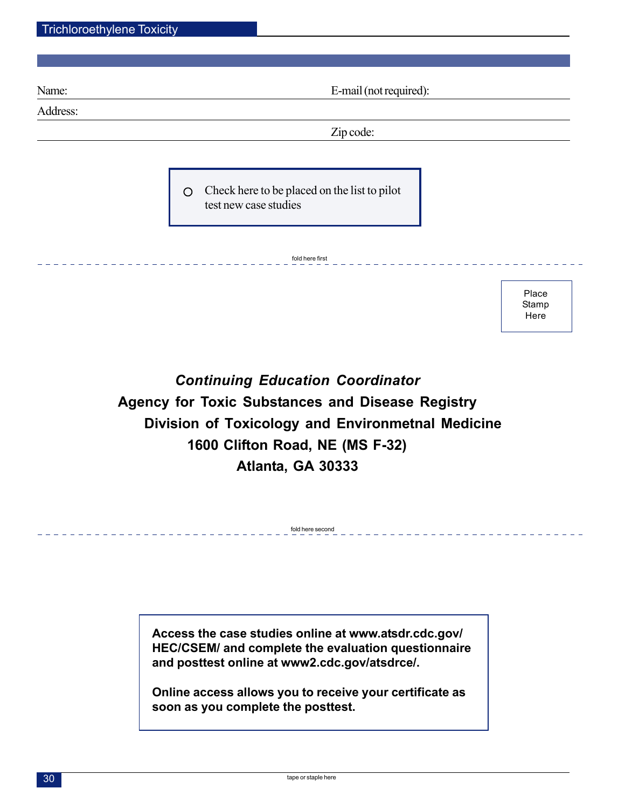Name: E-mail (not required):

Place Stamp Here

Address:

Zip code:

Check here to be placed on the list to pilot  $\circ$ test new case studies

fold here first

*Continuing Education Coordinator*  **Agency for Toxic Substances and Disease Registry Division of Toxicology and Environmetnal Medicine 1600 Clifton Road, NE (MS F-32) Atlanta, GA 30333** 

fold here second

**Access the case studies online at www.atsdr.cdc.gov/ HEC/CSEM/ and complete the evaluation questionnaire and posttest online at www2.cdc.gov/atsdrce/.** 

**Online access allows you to receive your certificate as soon as you complete the posttest.**